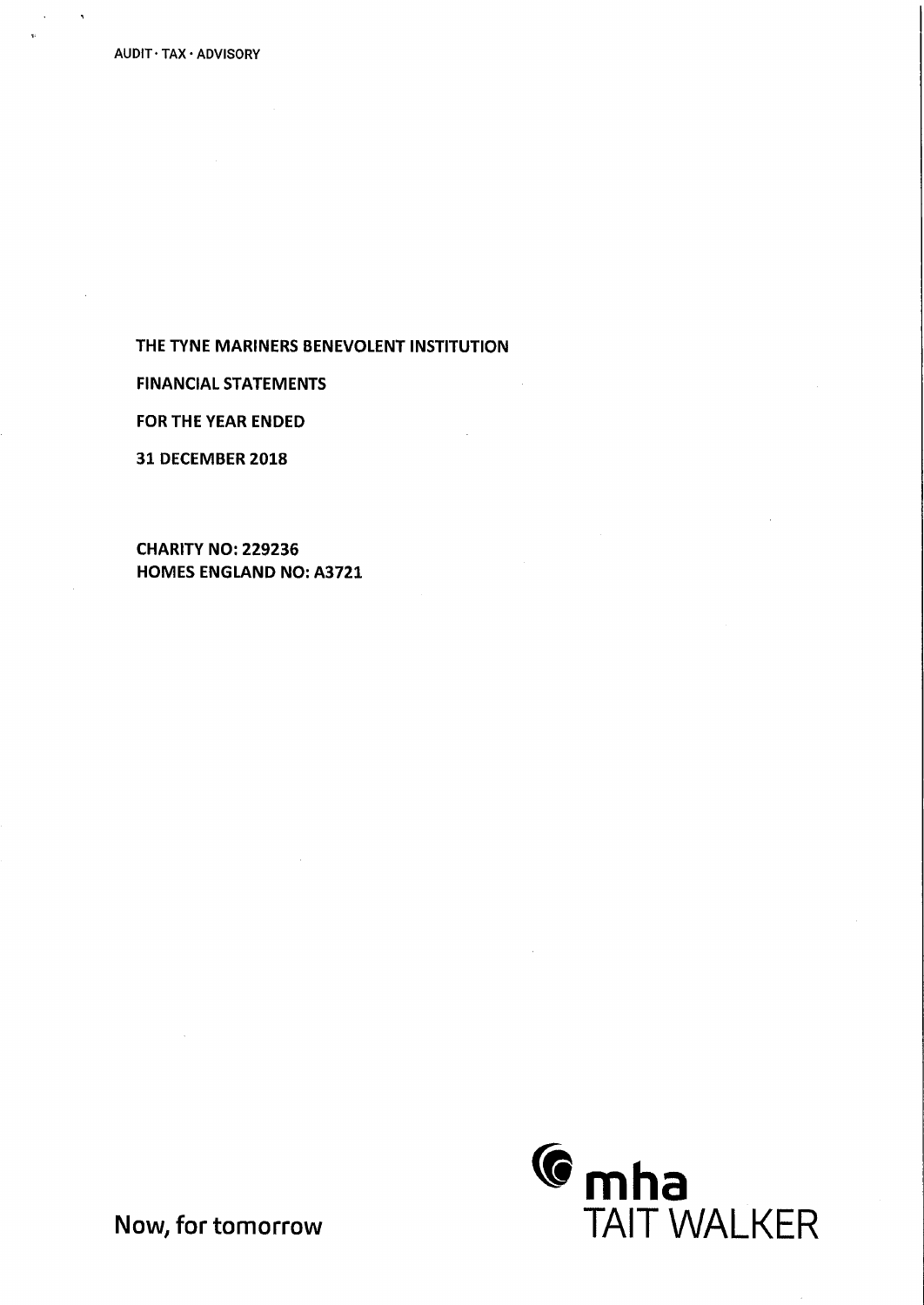FINANCIAL STATEMENTS

FOR THE YEAR ENDED

31 DECEMBER 2018

**CHARITY NO: 229236** HOMES ENGLAND NO: A3721



Now, for tomorrow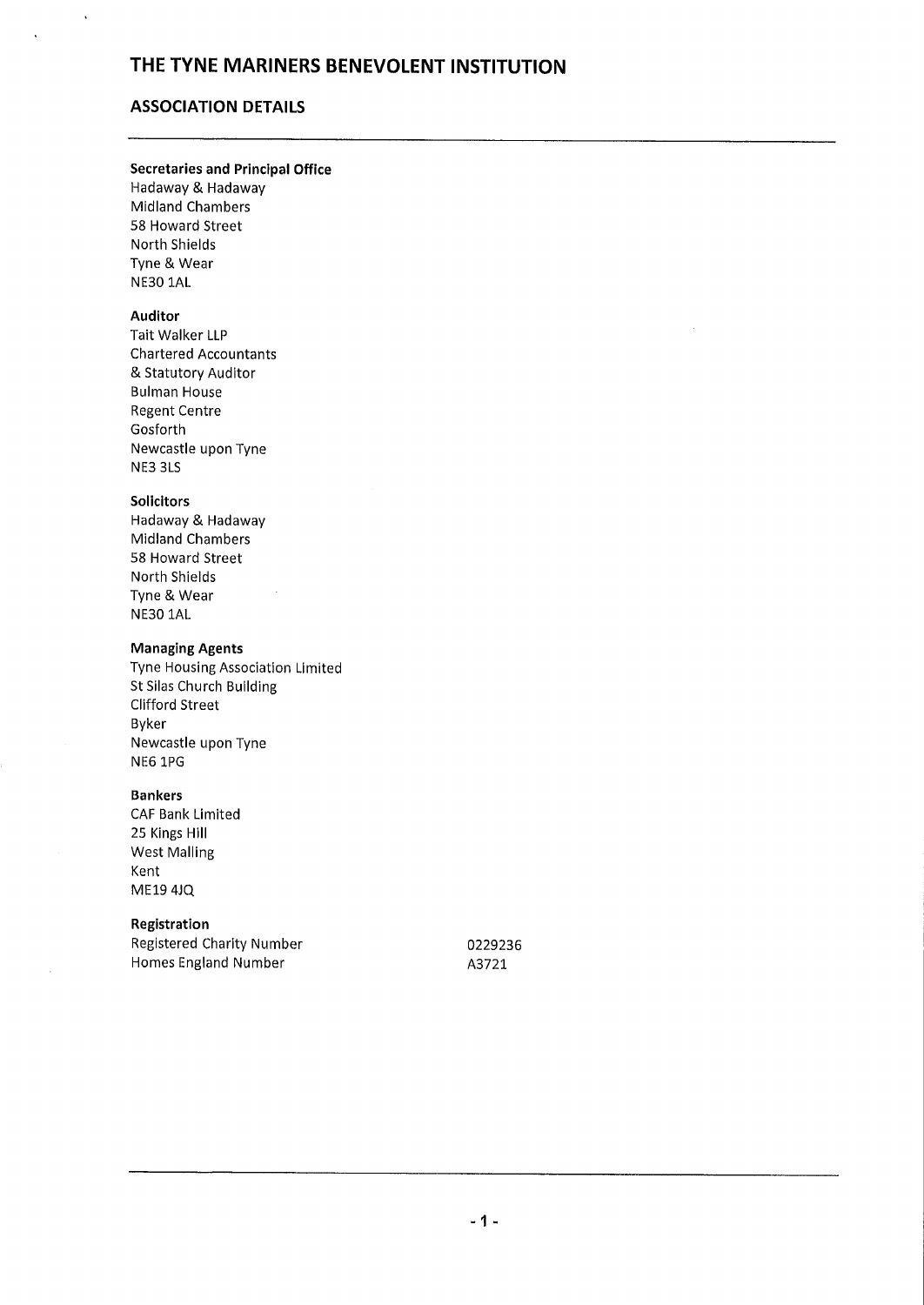## ASSOCIATION DETAILS

#### Secretaries and Principal Office

Hadaway & Hadaway Midland Chambers 58 Howard Street North Shields Tyne & Wear NE30 1AL

#### Auditor

 $\ddot{\phantom{a}}$ 

Tait Walker LLP Chartered Accountants & Statutory Auditor Bulman House Regent Centre Gosforth Newcastle upon Tyne NE3 3LS

#### **Solicitors**

Hadaway & Hadaway Midland Chambers 58 Howard Street North Shields Tyne & Wear NE30 1AL

### Managing Agents

Tyne Housing Association Limited St Silas Church Building Clifford Street Byker Newcastle upon Tyne NE6 1PG

#### Bankers

CAF Bank Limited 25 Kings Hill **West Malling** Kent ME19 4JQ

### Registration

Registered Charity Number Homes England Number

0229236 A3721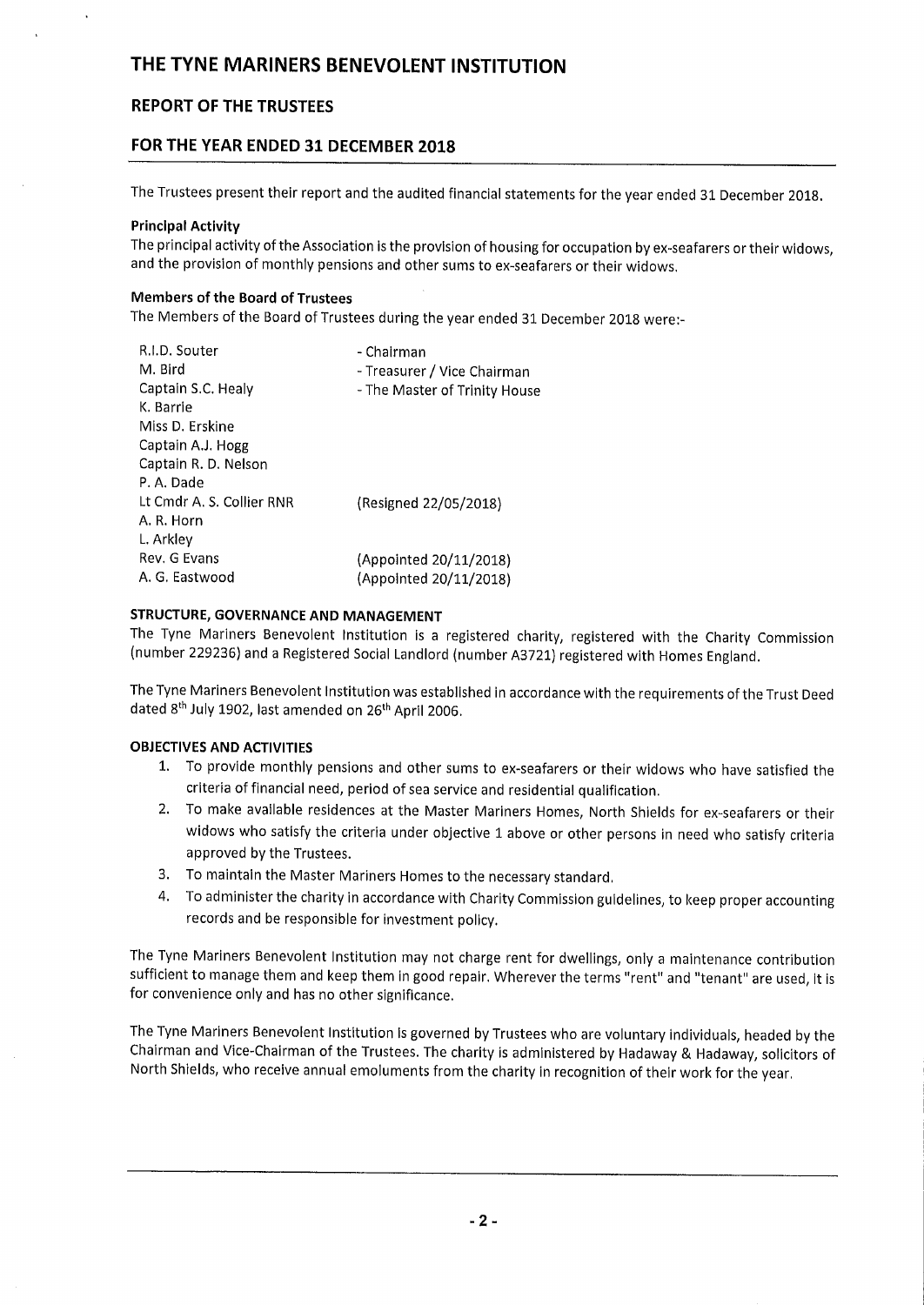## REPORT OF THE TRUSTEES

## FOR THE YEAR ENDED 31 DECEMBER 2018

The Trustees present their report and the audited financial statements for the year ended 31 December 2018,

#### Principal Activity

The principal activity of the Association is the provision of housing for occupation by ex-seafarers or their widows, and the provision of monthly pensions and other sums to ex-seafarers or their widows,

#### Members of the Board of Trustees

The Members of the Board of Trustees during the year ended 31 December 2018 were:-

| R.I.D. Souter             | - Chairman                    |
|---------------------------|-------------------------------|
| M. Bird                   | - Treasurer / Vice Chairman   |
| Captain S.C. Healy        | - The Master of Trinity House |
| K. Barrie                 |                               |
| Miss D. Erskine           |                               |
| Captain A.J. Hogg         |                               |
| Captain R. D. Nelson      |                               |
| P. A. Dade                |                               |
| Lt Cmdr A. S. Collier RNR | (Resigned 22/05/2018)         |
| A. R. Horn                |                               |
| L. Arkley                 |                               |
| Rev. G Evans              | (Appointed 20/11/2018)        |
| A. G. Eastwood            | (Appointed 20/11/2018)        |
|                           |                               |

### STRUCTURE, GOVERNANCE AND MANAGEMENT

The Tyne Mariners Benevolent Institution is <sup>a</sup> registered charity, registered with the Charity Commission (number 229236) and <sup>a</sup> Registered Social Landlord (number A3721) registered with Homes England,

The Tyne Mariners Benevolent Institution was established in accordance with the requirements of the Trust Deed dated 8<sup>th</sup> July 1902, last amended on 26<sup>th</sup> April 2006.

### OBJECTIVES AND ACTIVITIES

- 1, To provide monthly pensions and other sums to ex-seafarers or their widows who have satisfied the criteria of financial need, period of sea service and residential qualification.
- 2. To make available residences at the Master Mariners Homes, North Shields for ex-seafarers or their widows who satisfy the criteria under objective 1 above or other persons in need who satisfy criteria approved by the Trustees.
- 3, To maintain the Master Mariners Homes to the necessary standard,
- 4, To administer the charity in accordance with Charity Commission guidelines, to keep proper accounting records and be responsible for investment policy.

The Tyne Mariners Benevolent Institution may not charge rent for dwellings, only <sup>a</sup> maintenance contribution sufficient to manage them and keep them in good repair. Wherever the terms "rent" and "tenant" are used, It is for convenience only and has no other significance.

The Tyne Mariners Benevolent Institution is governed by Trustees who are voluntary individuals, headed by the Chairman and Vice-Chairman of the Trustees, The charity is administered by Hadaway 8, Hadaway, solicitors of North Shields, who receive annual emoluments from the charity in recognition of their work for the year.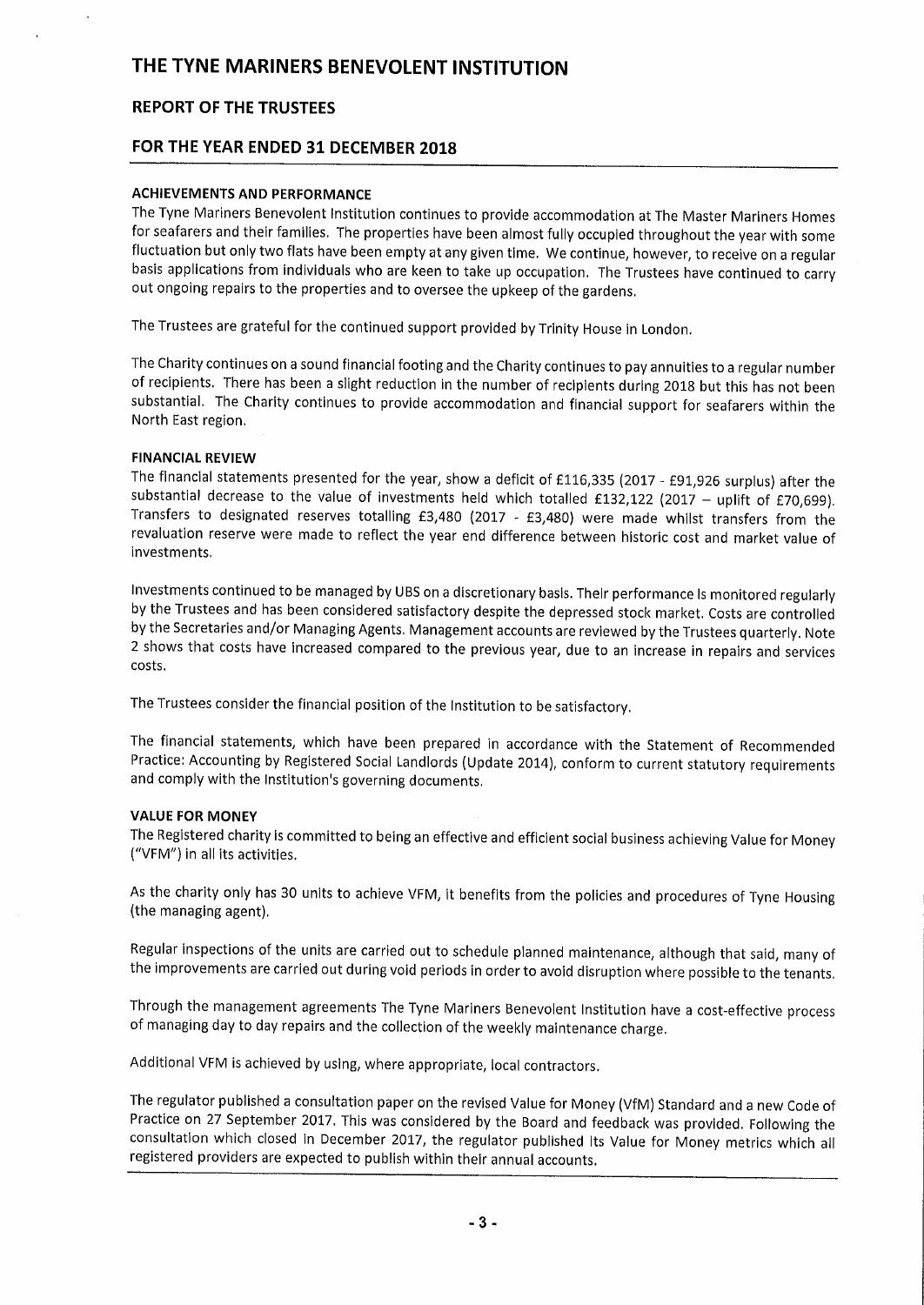# REPORT OF THE TRUSTEES

## FOR THE YEAR ENDED 31 DECEMBER 2018

### ACHIEVEMENTS AND PERFORMANCE

The Tyne Mariners Benevolent Institution continues to provide accommodation at The Master Mariners Homes for seafarers and their families. The properties have been almost fully occupied throughout the year with some fluctuation but only two flats have been empty at any given time, We continue, however, to receive on <sup>a</sup> regular basis applications from individuals who are keen to take up occupation, The Trustees have continued to carry out ongoing repairs to the properties and to oversee the upkeep of the gardens.

The Trustees are grateful for the continued support provided by Trinity House in London,

The Charity continues on <sup>a</sup> sound financial footing and the Charity continues to pay annuities to <sup>a</sup> regular number of recipients, There has been <sup>a</sup> slight reduction in the number of recipients during 2018 but this has not been substantial, The Charity continues to provide accommodation and financial support for seafarers within the North East region,

#### FINANCIAL REVIEW

The financial statements presented for the year, show <sup>a</sup> deficit of E116,335 (2017 - f91,926 surplus) after the substantial decrease to the value of investments held which totalled £132,122 (2017 - uplift of £70,699). Transfers to designated reserves totalling f3,480 (2017 - E3,480) were made whilst transfers from the revaluation reserve were made to reflect the year end difference between historic cost and market value of investments.

Investments continued to be managed by UBS on <sup>a</sup> discretionary basis. Their performance Is monitored regularly by the Trustees and has been considered satisfactory despite the depressed stock market, Costs are controlled by the Secretaries and/or Managing Agents. Management accounts are reviewed by the Trustees quarterly. Note <sup>2</sup> shows that costs have increased compared to the previous year, due to an increase in repairs and services costs,

The Trustees consider the financial position of the Institution to be satisfactory.

The financial statements, which have been prepared in accordance with the Statement of Recommended Practice, Accounting by Registered Social Landlords (Update 2014), conform to current statutory requirements and comply with the institution's governing documents,

#### VALUE FOR MONEY

The Registered charity is committed to being an effective and efficient social business achieving Value for Money ("VFM") in all its activities,

As the charity only has 30 units to achieve VFM, it benefits from the policies and procedures of Tyne Housing (the managing agent).

Regular inspections of the units are carried out to schedule planned maintenance, although that said, many of the improvements are carried out during void periods in order to avoid disruption where possible to the tenants.

Through the management agreements The Tyne Mariners Benevolent Institution have <sup>a</sup> cost-effective process of managing day to day repairs and the collection of the weekly maintenance charge,

Additional VFM is achieved by using, where appropriate, local contractors,

The regulator published <sup>a</sup> consultation paper on the revised Value for Money (VfM) Standard and <sup>a</sup> new Code of Practice on <sup>27</sup> September 2017, This was considered by the Board and feedback was provided, Following the consultation which closed In December 2017, the regulator published Its Value for Money metrics which all registered providers are expected to publish within their annual accounts.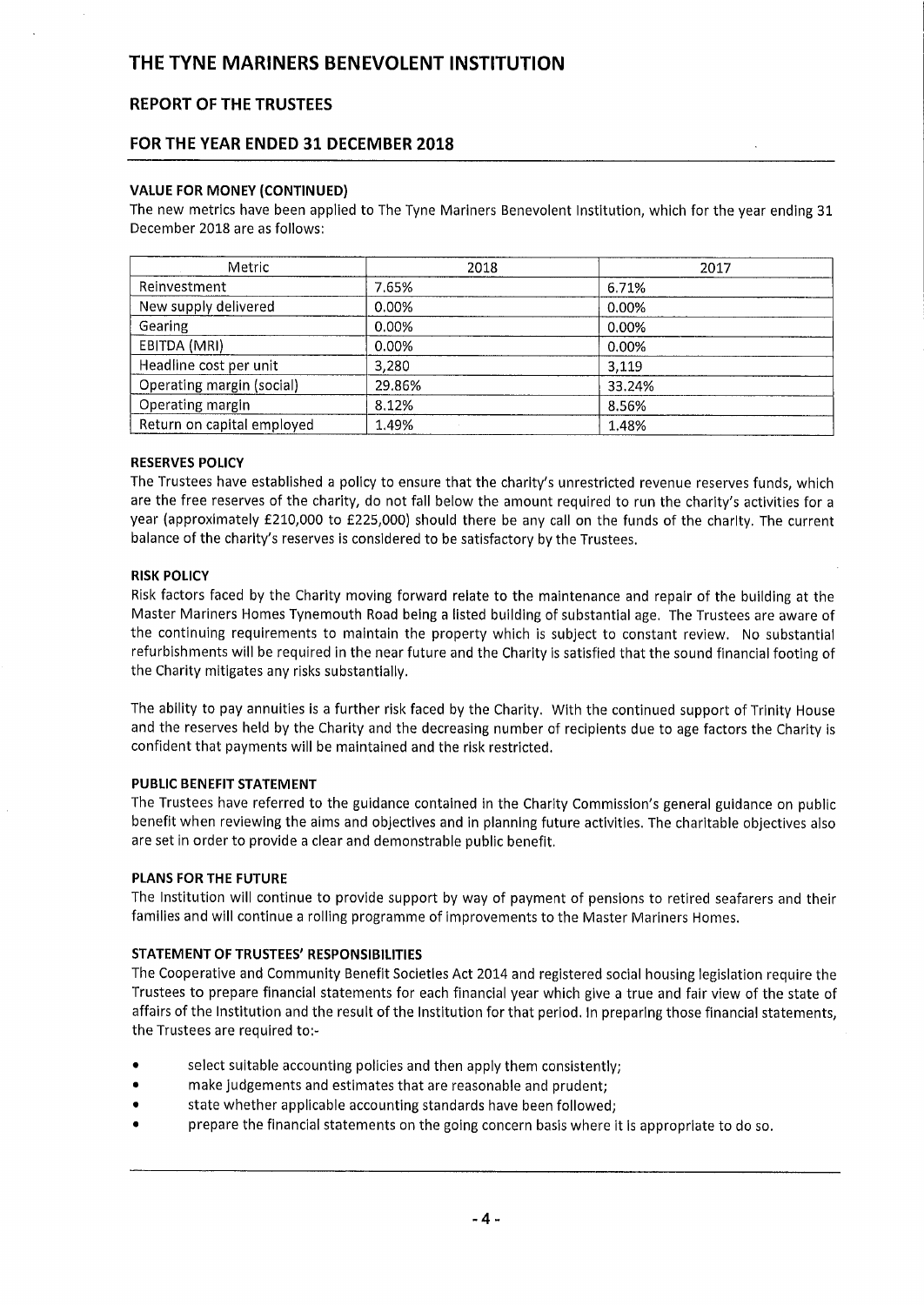### REPORT OF THE TRUSTEES

## FOR THE YEAR ENDED 31 DECEMBER 2018

#### VALUE FOR MONEY (CONTINUED)

The new metrics have been applied to The Tyne Mariners Benevolent Institution, which for the year ending 31 December 2018 are as follows:

| Metric                     | 2018   | 2017   |
|----------------------------|--------|--------|
| Reinvestment               | 7.65%  | 6.71%  |
| New supply delivered       | 0.00%  | 0.00%  |
| Gearing                    | 0.00%  | 0.00%  |
| EBITDA (MRI)               | 0.00%  | 0.00%  |
| Headline cost per unit     | 3,280  | 3,119  |
| Operating margin (social)  | 29.86% | 33.24% |
| Operating margin           | 8.12%  | 8.56%  |
| Return on capital employed | 1.49%  | 1.48%  |

#### RESERVES POLICY

The Trustees have established a policy to ensure that the charity's unrestricted revenue reserves funds, which are the free reserves of the charity, do not fall below the amount required to run the charity's activities for <sup>a</sup> year (approximately £210,000 to £225,000) should there be any call on the funds of the charity. The current balance of the charity's reserves is considered to be satisfactory by the Trustees.

#### RISK POLICY

Risk factors faced by the Charity moving forward relate to the maintenance and repair of the building at the Master Mariners Homes Tynemouth Road being a listed building of substantial age. The Trustees are aware of the continuing requirements to maintain the property which is subject to constant review, No substantial refurbishments will be required in the near future and the Charity is satisfied that the sound financial footing of the Charity mitigates any risks substantially.

The ability to pay annuities is a further risk faced by the Charity, With the continued support of Trinity House and the reserves held by the Charity and the decreasing number of recipients due to age factors the Charity is confident that payments will be maintained and the risk restricted,

#### PUBLIC BENEFIT STATEMENT

The Trustees have referred to the guidance contained in the Charity Commission's general guidance on public benefit when reviewing the aims and objectives and in planning future activities, The charitable objectives also are set in order to provide a clear and demonstrable public benefit.

#### PLANS FOR THE FUTURE

The Institution will continue to provide support by way of payment of pensions to retired seafarers and their families and will continue a rolling programme of improvements to the Master Mariners Homes.

### STATEMENT OF TRUSTEES' RESPONSIBILITIES

The Cooperative and Community Benefit Societies Act 2014 and registered social housing legislation require the Trustees to prepare financial statements for each financial year which give <sup>a</sup> true and fair view of the state of affairs of the Institution and the result of the Institution for that period, In preparing those financial statements, the Trustees are required to;-

- select suitable accounting policies and then apply them consistently;
- make judgements and estimates that are reasonable and prudent;
- state whether applicable accounting standards have been followed;
- prepare the financial statements on the going concern basis where it Is appropriate to do so,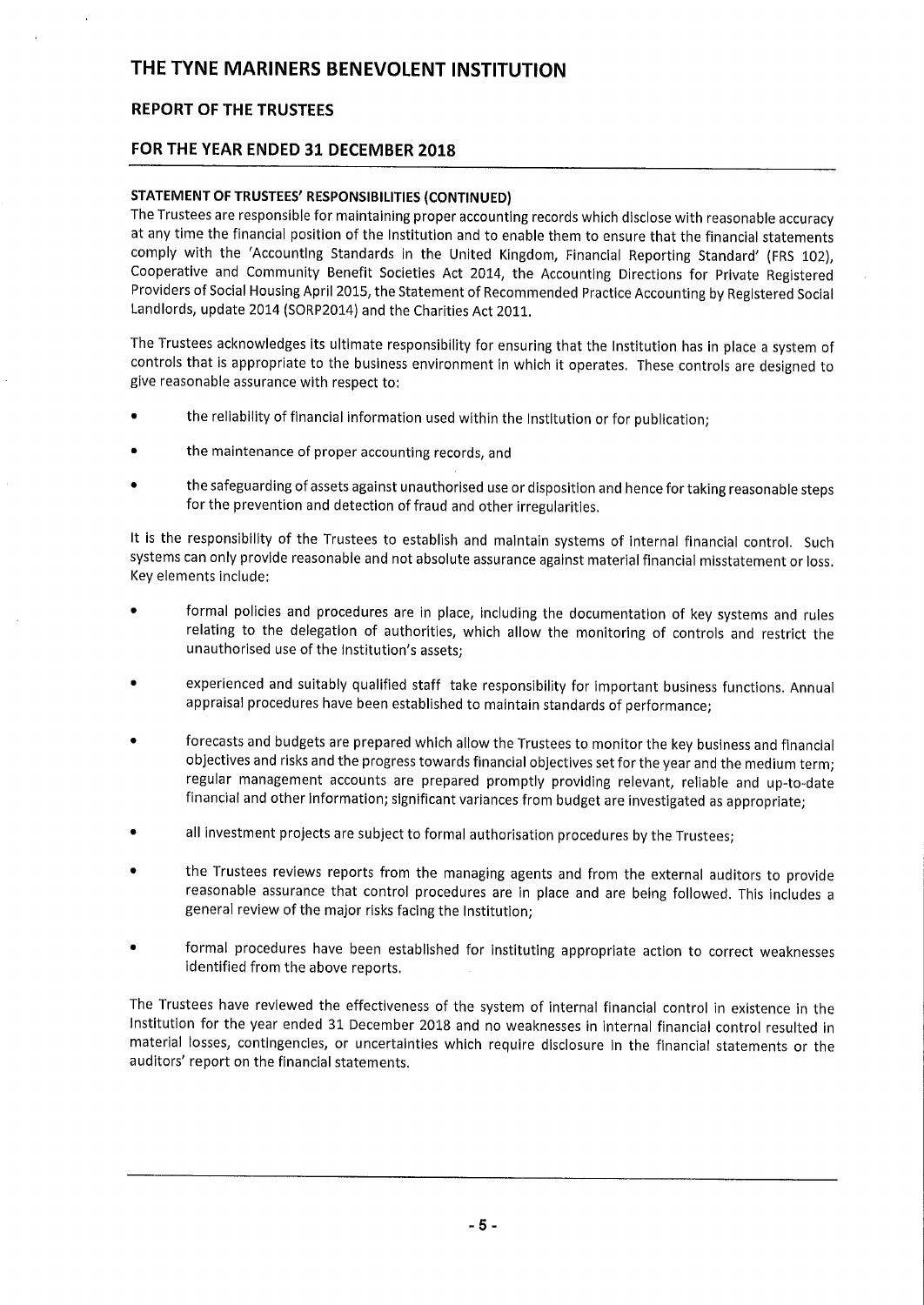## REPORT OF THE TRUSTEES

## FOR THE YEAR ENDED 31 DECEMBER 2018

### STATEMENT OF TRUSTEES' RESPONSIBILITIES (CONTINUED)

The Trustees are responsible for maintaining proper accounting records which disclose with reasonable accuracy at any time the financial position of the Institution and to enable them to ensure that the financial statements comply with the 'Accounting Standards in the United Kingdom, Financial Reporting Standard' (FRS 102), Cooperative and Community Benefit Societies Act 2014, the Accounting Directions for Private Registered Providers of Social Housing April 2015, the Statement of Recommended Practice Accounting by Registered Social Landlords, update 2014 (SORP2014) and the Charities Act 2011.

The Trustees acknowledges its ultimate responsibility for ensuring that the Institution has in place <sup>a</sup> system of controls that is appropriate to the business environment in which it operates. These controls are designed to give reasonable assurance with respect to:

- the reliability of financial information used within the Institution or for publication;
- the maintenance of proper accounting records, and
- the safeguarding of assets against unauthorised use or disposition and hence for taking reasonable steps for the prevention and detection of fraud and other irregularities,

It is the responsibility of the Trustees to establish and maintain systems of internal financial control. Such systems can only provide reasonable and not absolute assurance against material financial misstatement or loss. Key elements include;

- formal policies and procedures are in place, including the documentation of key systems and rules relating to the delegation of authorities, which allow the monitoring of controls and restrict the unauthorised use of the Institution's assets;
- experienced and suitably qualified staff take responsibility for important business functions, Annual appraisal procedures have been established to maintain standards of performance;
- forecasts and budgets are prepared which allow the Trustees to monitor the key business and financial objectives and risks and the progress towards financial objectives set for the year and the medium term; regular management accounts are prepared promptly providing relevant, reliable and up-to-date financial and other Information; significant variances from budget are investigated as appropriate;
- all investment projects are subject to formal authorisation procedures by the Trustees;
- the Trustees reviews reports from the managing agents and from the external auditors to provide reasonable assurance that control procedures are in place and are being followed, This includes <sup>a</sup> general review of the major risks facing the Institution;
- formal procedures have been established for instituting appropriate action to correct weaknesses identified from the above reports,

The Trustees have reviewed the effectiveness of the system of internal financial control in existence in the Institution for the year ended 31 December 2018 and no weaknesses in internal financial control resulted in material losses, contingencies, or uncertainties which require disclosure in the financial statements or the auditors' report on the financial statements,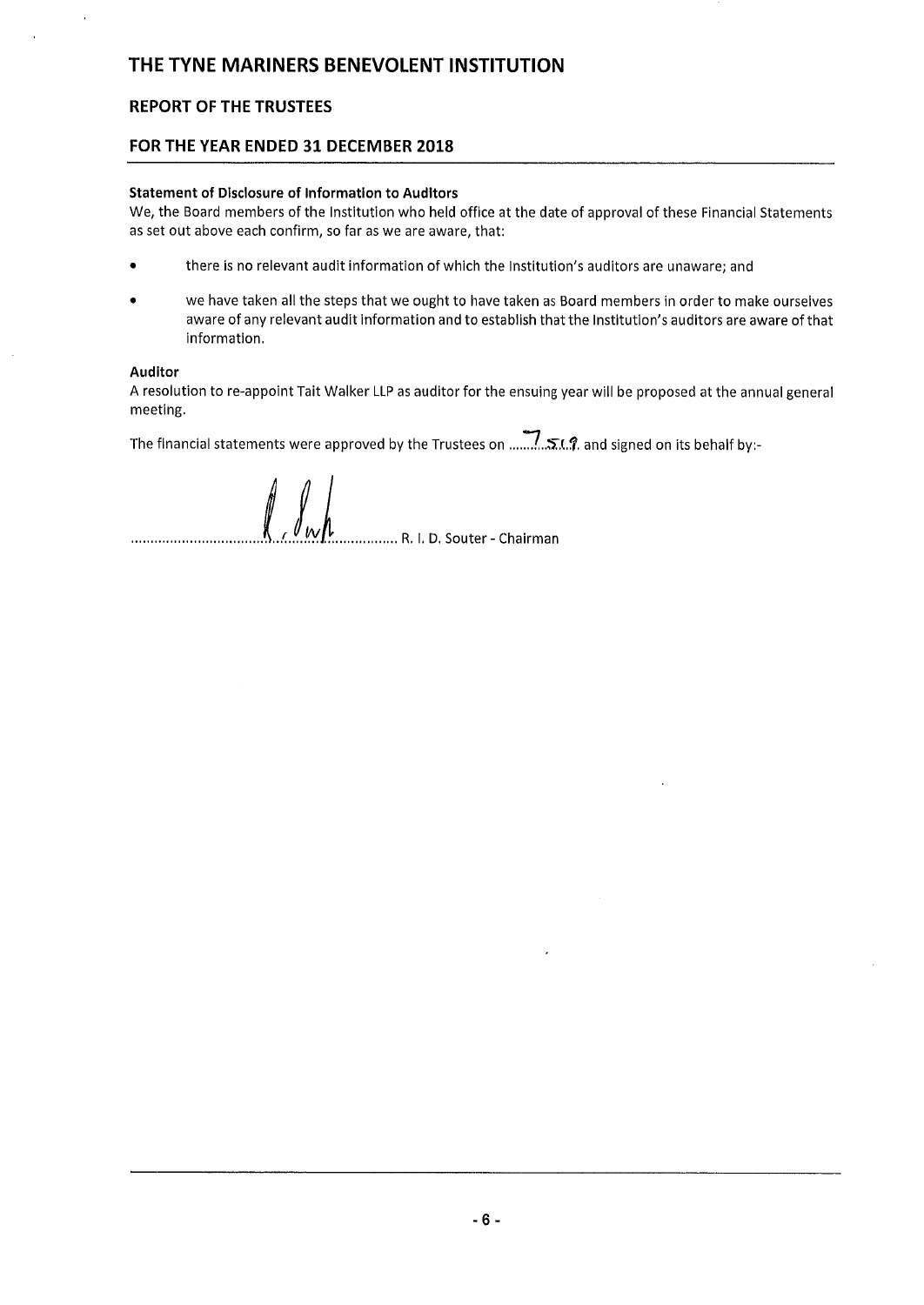## REPORT OF THE TRUSTEES

## FOR THE YEAR ENDED 31 DECEMBER 2018

#### Statement of Disclosure of Information to Auditors

We, the Board members of the Institution who held office at the date of approval of these Financial Statements as set out above each confirm, so far as we are aware, that:

- there is no relevant audit information of which the institution's auditors are unaware; and
- we have taken all the steps that we ought to have taken as Board members in order to make ourselves aware of any relevant audit information and to establish that the institution's auditors are aware of that information.

#### Auditor

<sup>A</sup> resolution to re-appoint Tait Walker LLP as auditor for the ensuing year will be proposed at the annual general meeting,

The financial statements were approved by the Trustees on  $\mathcal{R}_{\mathbf{S}}$ , and signed on its behalf by:-

 $\int_{\mathcal{N}}$ ............ R. I. D. Souter - Chairman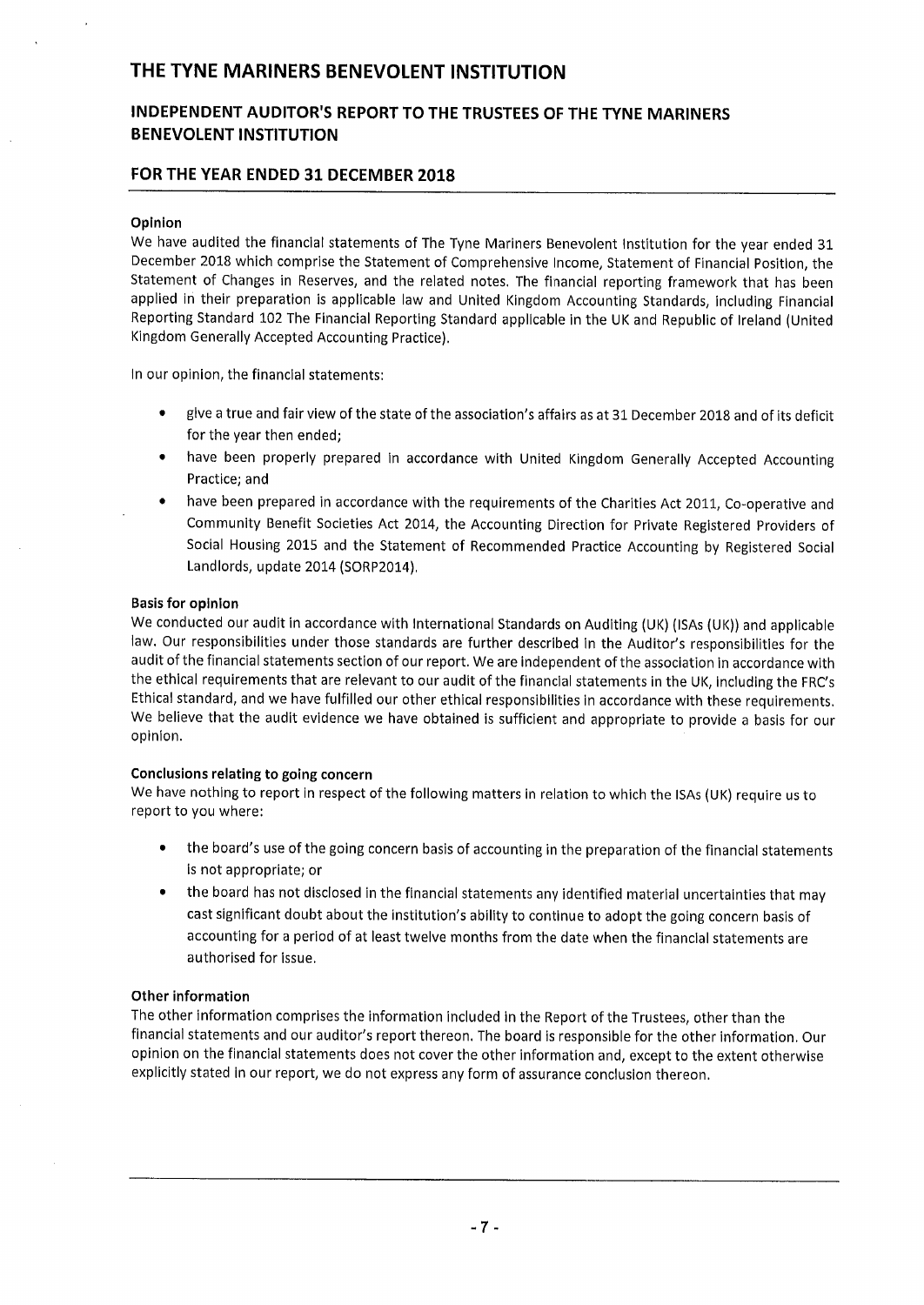## INDEPENDENT AUDITOR'S REPORT TO THE TRUSTEES OF THE TYNE MARINERS BENEVOLENT INSTITUTION

## FOR THE YEAR ENDED 31 DECEMBER 2018

#### Opinion

We have audited the financial statements of The Tyne Mariners Benevolent institution for the year ended 31 December 2018 which comprise the Statement of Comprehensive Income, Statement of Financial Position, the Statement of Changes in Reserves, and the related notes, The financial reporting framework that has been applied in their preparation is applicable law and United Kingdom Accounting Standards, including Financial Reporting Standard 102 The Financial Reporting Standard applicable in the UK and Republic of Ireland (United Kingdom Generally Accepted Accounting Practice),

In our opinion, the financial statements:

- give a true and fair view of the state of the association's affairs as at 31 December 2018 and of its deficit for the year then ended;
- have been properly prepared in accordance with United Kingdom Generally Accepted Accounting Practice; and
- have been prepared in accordance with the requirements of the Charities Act 2011, Co-operative and Community Benefit Societies Act 2014, the Accounting Direction for Private Registered Providers of Social Housing 2015 and the Statement of Recommended Practice Accounting by Registered Social Landlords, update 2014 (SORP2014).

#### Basis for opinion

We conducted our audit in accordance with International Standards on Auditing (UK) (ISAs (UK)) and applicable law, Our responsibilities under those standards are further described in the Auditor's responsibilities for the audit of the financial statements section of our report. We are independent of the association in accordance with the ethical requirements that are relevant to our audit of the financial statements in the UK, including the FRC's Ethical standard, and we have fulfilled our other ethical responsibilities in accordance with these requirements. We believe that the audit evidence we have obtained is sufficient and appropriate to provide <sup>a</sup> basis for our opinion.

### Conclusions relating to going concern

We have nothing to report in respect of the following matters in relation to which the ISAs (UK) require us to report to you where:

- the board's use of the going concern basis of accounting in the preparation of the financial statements is not appropriate; or
- the board has not disclosed in the financial statements any identified material uncertainties that may cast significant doubt about the institution's ability to continue to adopt the going concern basis of accounting for <sup>a</sup> period of at least twelve months from the date when the financial statements are authorised for issue,

### Other information

The other information comprises the information included in the Report of the Trustees, other than the financial statements and our auditor's report thereon, The board is responsible for the other information, Our opinion on the financial statements does not cover the other information and, except to the extent otherwise explicitly stated in our report, we do not express any form of assurance conclusion thereon,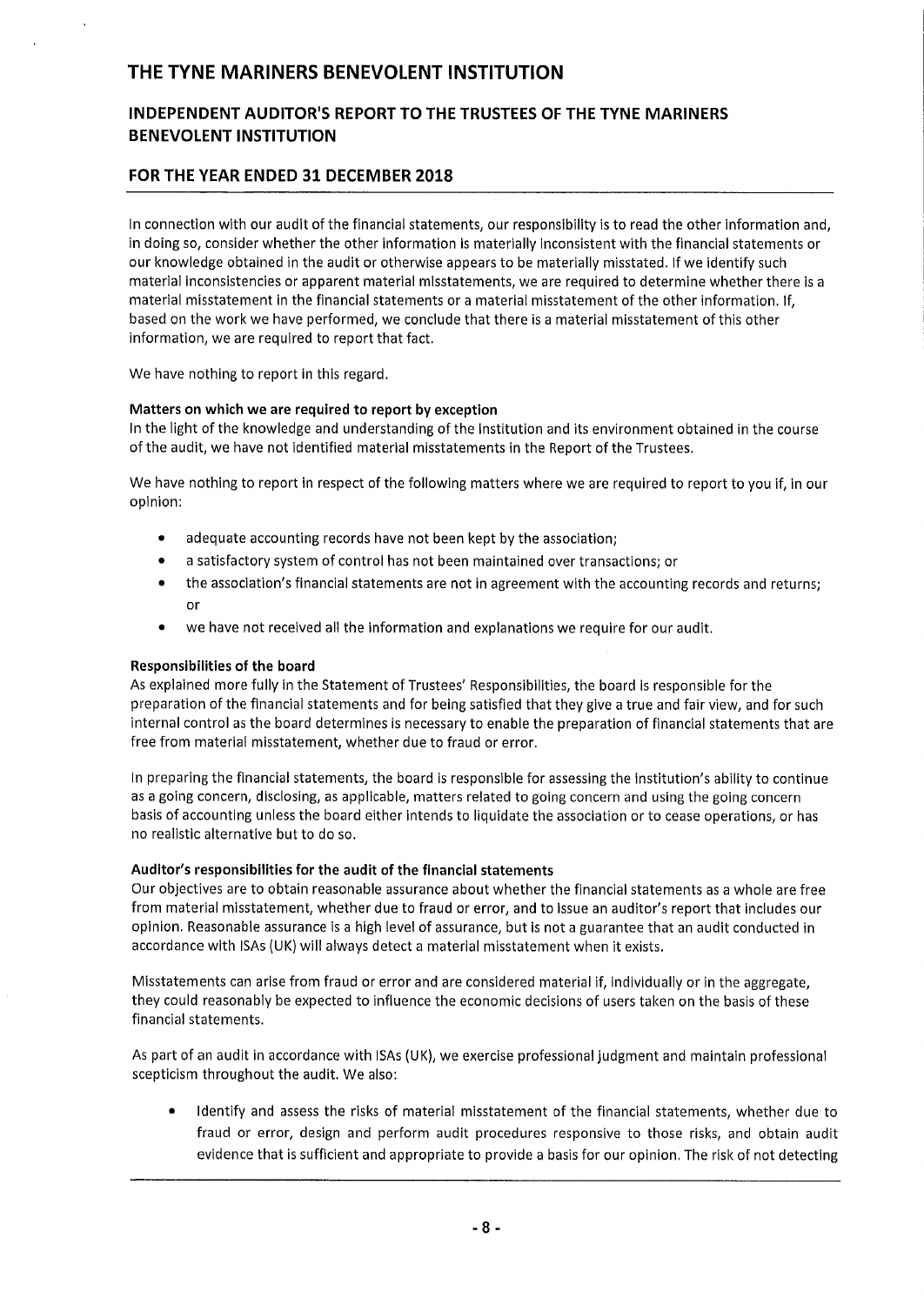## INDEPENDENT AUDITOR'S REPORT TO THE TRUSTEES OF THE TYNE MARINERS BENEVOLENT INSTITUTION

## FOR THE YEAR ENDED 31 DECEMBER 2018

In connection with our audit of the financial statements, our responsibility is to read the other information and, in doing so, consider whether the other information is materially inconsistent with the financial statements or our knowledge obtained in the audit or otherwise appears to be materially misstated, If we identify such material inconsistencies or apparent material mlsstatements, we are required to determine whether there is a material misstatement in the financial statements or a material misstatement of the other information, If, based on the work we have performed, we conclude that there is a material misstatement of this other information, we are required to report that fact,

We have nothing to report in this regard.

#### Matters on which we are required to report by exception

In the light of the knowledge and understanding of the institution and its environment obtained in the course of the audit, we have not identified material misstatements in the Report of the Trustees,

We have nothing to report in respect of the following matters where we are required to report to you if, in our opinion:

- ~ adequate accounting records have not been kept by the association;
- ~ a satisfactory system of control has not been maintained over transactions; or
- the association's financial statements are not in agreement with the accounting records and returns; or
- we have not received all the information and explanations we require for our audit.

#### Responsibilities of the board

As explained more fully in the Statement of Trustees' Responsibilities, the board is responsible for the preparation of the financial statements and for being satisfied that they give a true and fair view, and for such internal control as the board determines is necessary to enable the preparation of financial statements that are free from material misstatement, whether due to fraud or error.

In preparing the financial statements, the board is responsible for assessing the institution's ability to continue as a going concern, disclosing, as applicable, matters related to going concern and using the going concern basis of accounting unless the board either intends to liquidate the association or to cease operations, or has no realistic alternative but to do so.

### Auditor's responsibilities for the audit of the financial statements

Our objectives are to obtain reasonable assurance about whether the financial statements as a whole are free from material misstatement, whether due to fraud or error, and to issue an auditor's report that includes our opinion. Reasonable assurance is a high level of assurance, but is not a guarantee that an audit conducted in accordance with ISAs (UK) will always detect a material misstatement when it exists,

Misstatements can arise from fraud or error and are considered material if, individually or in the aggregate, they could reasonably be expected to influence the economic decisions of users taken on the basis of these financial statements,

As part of an audit in accordance with ISAs (UK), we exercise professional judgment and maintain professional scepticism throughout the audit, We also:

Identify and assess the risks of material misstatement of the financial statements, whether due to fraud or error, design and perform audit procedures responsive to those risks, and obtain audit evidence that is sufficient and appropriate to provide a basis for our opinion. The risk of not detecting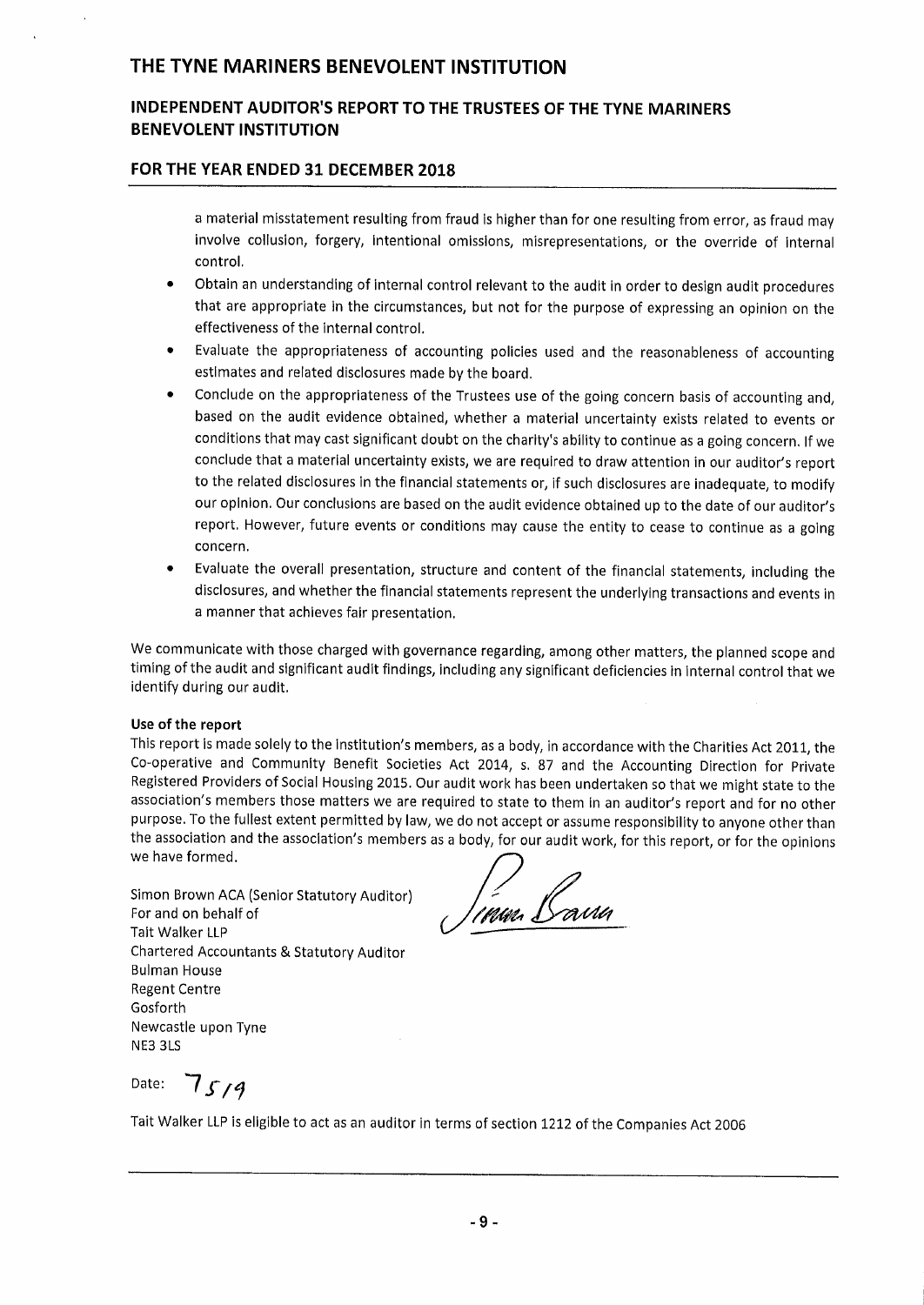## INDEPENDENT AUDITOR'S REPORT TO THE TRUSTEES OF THE TYNE MARINERS BENEVOLENT INSTITUTION

## FOR THE YEAR ENDED 31 DECEMBER 2018

a material misstatement resulting from fraud is higher than for one resulting from error, as fraud may involve collusion, forgery, intentional omissions, misrepresentations, or the override of internal control,

- <sup>~</sup> Obtain an understanding of internal control relevant to the audit in order to design audit procedures that are appropriate in the circumstances, but not for the purpose of expressing an opinion on the effectiveness of the internal control,
- <sup>~</sup> Evaluate the appropriateness of accounting policies used and the reasonableness of accounting estimates and related disclosures made by the board,
- <sup>~</sup> Conclude on the appropriateness of the Trustees use of the going concern basis of accounting and, based on the audit evidence obtained, whether a material uncertainty exists related to events or conditions that may cast significant doubt on the charity's ability to continue as <sup>a</sup> going concern, If we conclude that <sup>a</sup> material uncertainty exists, we are required to draw attention in our auditor's report to the related disclosures in the financial statements or, if such disclosures are inadequate, to modify our opinion, Our conclusions are based on the audit evidence obtained up to the date of our auditor's report, However, future events or conditions may cause the entity to cease to continue as <sup>a</sup> going concern.
- <sup>~</sup> Evaluate the overall presentation, structure and content of the financial statements, including the disclosures, and whether the financial statements represent the underlying transactions and events in a manner that achieves fair presentation,

We communicate with those charged with governance regarding, among other matters, the planned scope and timing of the audit and significant audit findings, including any significant deficiencies in internal control that we identify during our audit.

#### Use of the report

This report is made solely to the institution's members, as <sup>a</sup> body, in accordance with the Charities Act 2011, the Co-operative and Community Benefit Societies Act 2014, s. 87 and the Accounting Direction for Private Registered Providers of Social Housing 2015, Our audit work has been undertaken so that we might state to the association's members those matters we are required to state to them in an auditor's report and for no other purpose. To the fullest extent permitted by law, we do not accept or assume responsibility to anyone other than the association and the association's members as <sup>a</sup> body, for our audit work, for this report, or for the opinions we have formed.

Simon Brown ACA (Senior Statutory Auditor) For and on behalf of Tait Walker LLP Chartered Accountants & Statutory Auditor Bulman House Regent Centre Gosforth Newcastle upon Tyne NE3 3LS

Date:  $75/9$ 

Tait Walker LLP is eligible to act as an auditor in terms of section 1212 of the Companies Act 2006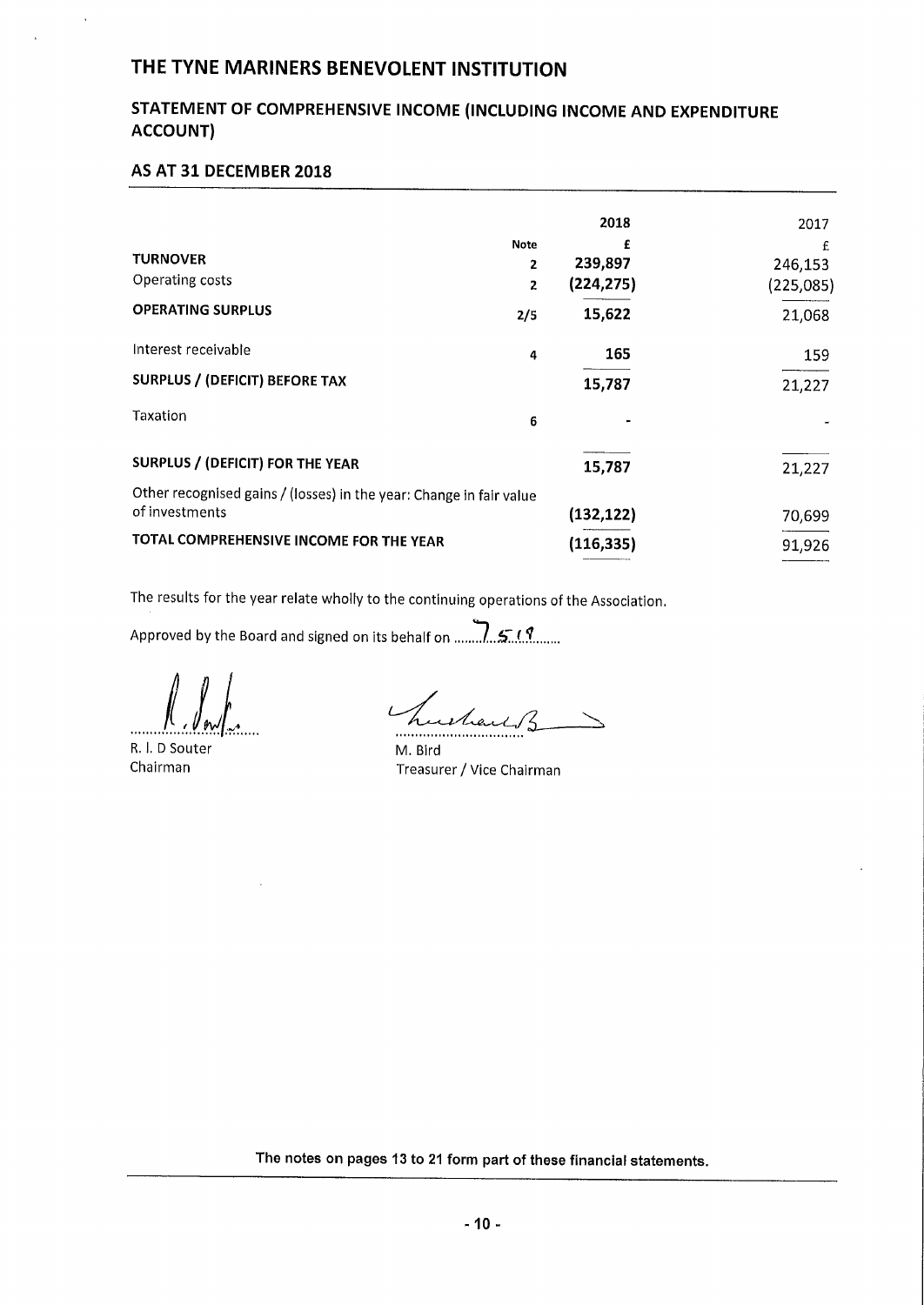# STATEMENT OF COMPREHENSIVE INCOME (INCLUDING INCOME AND EXPENDITURE ACCOUNT)

## AS AT 31 DECEMBER 2018

 $\ddot{\phantom{1}}$ 

|                                                                     |              | 2018       |              |
|---------------------------------------------------------------------|--------------|------------|--------------|
|                                                                     | <b>Note</b>  | £          | 2017         |
| <b>TURNOVER</b>                                                     | 2            | 239,897    | £<br>246,153 |
| Operating costs                                                     | $\mathbf{z}$ | (224, 275) | (225,085)    |
| <b>OPERATING SURPLUS</b>                                            | 2/5          | 15,622     | 21,068       |
| Interest receivable                                                 | 4            | 165        | 159          |
| <b>SURPLUS / (DEFICIT) BEFORE TAX</b>                               |              | 15,787     | 21,227       |
| Taxation                                                            | 6            |            |              |
| <b>SURPLUS / (DEFICIT) FOR THE YEAR</b>                             |              | 15,787     | 21,227       |
| Other recognised gains / (losses) in the year: Change in fair value |              |            |              |
| of investments                                                      |              | (132,122)  | 70,699       |
| TOTAL COMPREHENSIVE INCOME FOR THE YEAR                             |              | (116, 335) | 91,926       |

The results for the year relate wholly to the continuing operations of the Association,

Approved by the Board and signed on its behalf on  $\mathcal{L}_1$ .

R, I. <sup>D</sup> Souter Chairman

hustands  $\overline{L}$ 

M, Bird Treasurer / Vice Chairman

The notes on pages 13 to 21 form part of these financial statements.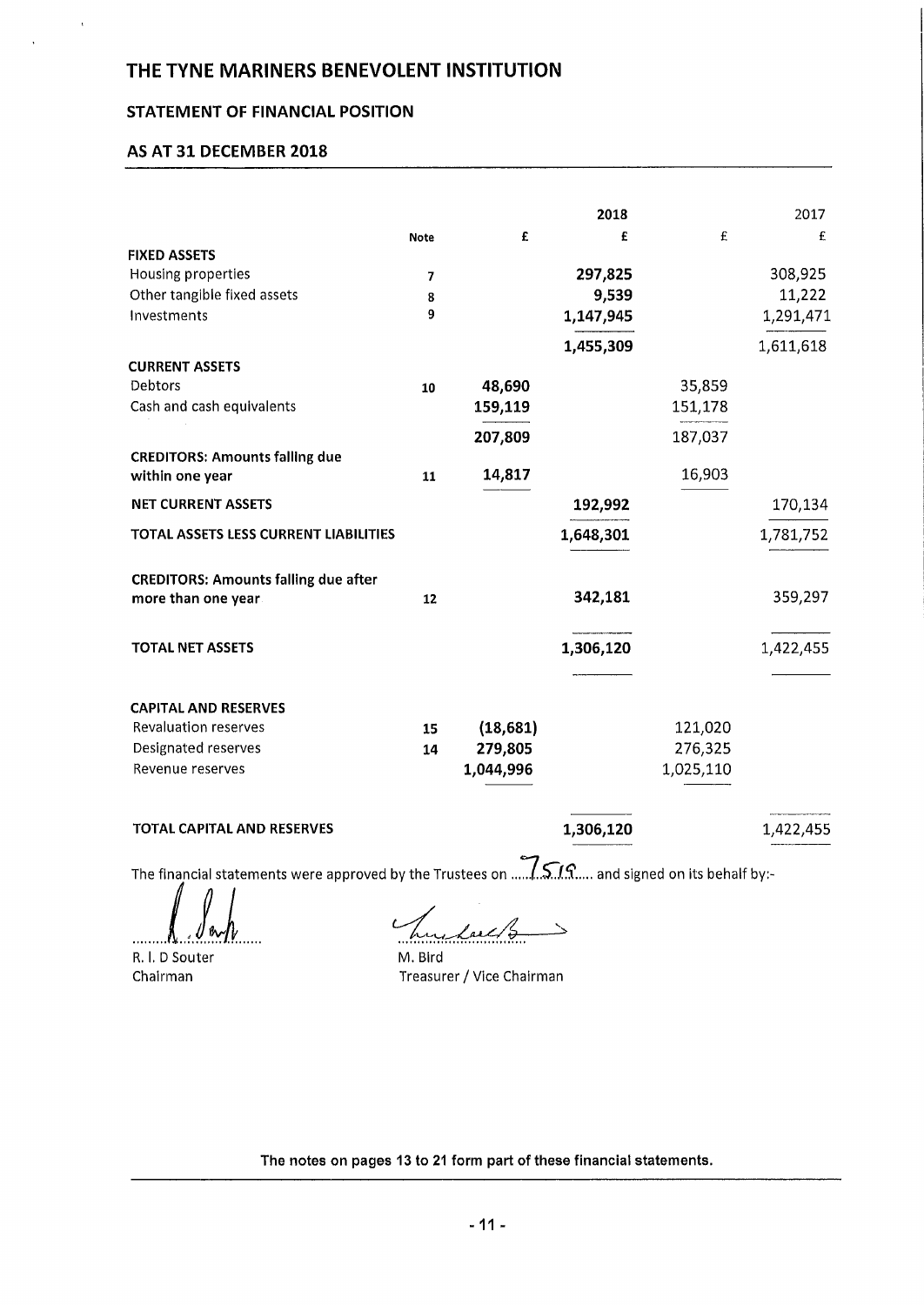## STATEMENT OF FINANCIAL POSITION

## AS AT 31 DECEMBER 2018

 $\hat{\mathbf{v}}$ 

|                                                          |             |           | 2018      |           | 2017      |
|----------------------------------------------------------|-------------|-----------|-----------|-----------|-----------|
|                                                          | <b>Note</b> | £         | £         | E         | £         |
| <b>FIXED ASSETS</b>                                      |             |           |           |           |           |
| Housing properties                                       | 7           |           | 297,825   |           | 308,925   |
| Other tangible fixed assets                              | 8           |           | 9,539     |           | 11,222    |
| Investments                                              | 9           |           | 1,147,945 |           | 1,291,471 |
|                                                          |             |           | 1,455,309 |           | 1,611,618 |
| <b>CURRENT ASSETS</b>                                    |             |           |           |           |           |
| Debtors                                                  | 10          | 48,690    |           | 35,859    |           |
| Cash and cash equivalents                                |             | 159,119   |           | 151,178   |           |
|                                                          |             | 207,809   |           | 187,037   |           |
| <b>CREDITORS: Amounts falling due</b><br>within one year | 11          | 14,817    |           | 16,903    |           |
| <b>NET CURRENT ASSETS</b>                                |             |           | 192,992   |           | 170,134   |
| TOTAL ASSETS LESS CURRENT LIABILITIES                    |             |           | 1,648,301 |           | 1,781,752 |
| <b>CREDITORS: Amounts falling due after</b>              |             |           |           |           |           |
| more than one year.                                      | 12          |           | 342,181   |           | 359,297   |
| <b>TOTAL NET ASSETS</b>                                  |             |           | 1,306,120 |           | 1,422,455 |
| <b>CAPITAL AND RESERVES</b>                              |             |           |           |           |           |
| <b>Revaluation reserves</b>                              | 15          | (18, 681) |           | 121,020   |           |
| Designated reserves                                      | 14          | 279,805   |           | 276,325   |           |
| Revenue reserves                                         |             | 1,044,996 |           | 1,025,110 |           |
|                                                          |             |           |           |           |           |
| <b>TOTAL CAPITAL AND RESERVES</b>                        |             |           | 1,306,120 |           | 1,422,455 |

The financial statements were approved by the Trustees on .......................... and signed on its behalf by:-

. . . . . . . . . 1

R, I, D Souter Chairman

y larg  $\mathcal{L}$  $\geq$ -h.

M, Bird Treasurer / Vice Chairman

The notes on pages 13 to 21 form part of these financial statements.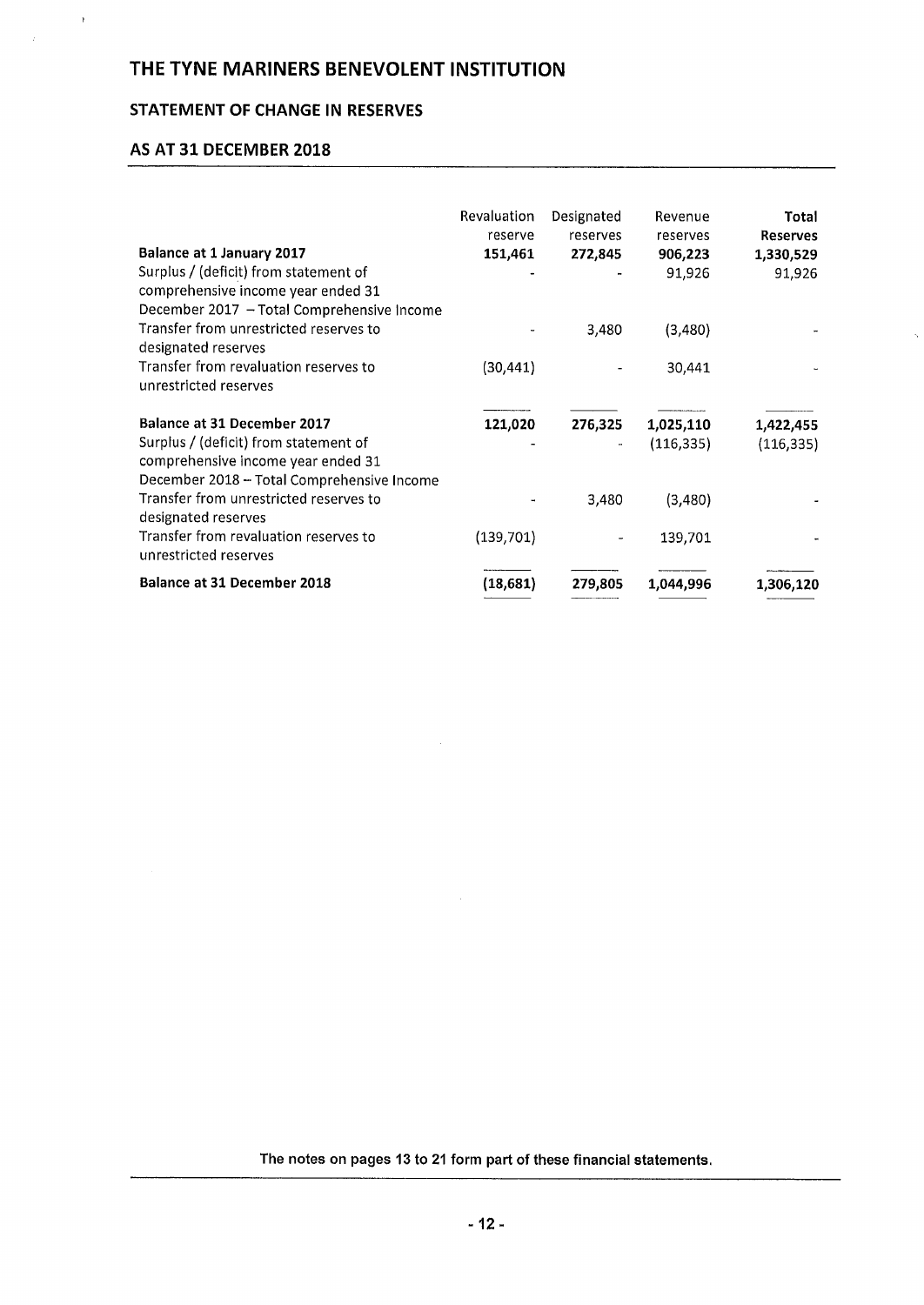## STATEMENT OF CHANGE IN RESERVES

## AS AT 31 DECEMBER 2018

 $\bar{r}$ 

|                                                                                                                           | Revaluation<br>reserve | Designated<br>reserves | Revenue<br>reserves | Total<br><b>Reserves</b> |
|---------------------------------------------------------------------------------------------------------------------------|------------------------|------------------------|---------------------|--------------------------|
| <b>Balance at 1 January 2017</b>                                                                                          | 151,461                | 272,845                | 906,223             | 1,330,529                |
| Surplus / (deficit) from statement of<br>comprehensive income year ended 31<br>December 2017 - Total Comprehensive Income |                        |                        | 91,926              | 91,926                   |
| Transfer from unrestricted reserves to<br>designated reserves                                                             |                        | 3,480                  | (3,480)             |                          |
| Transfer from revaluation reserves to<br>unrestricted reserves                                                            | (30, 441)              |                        | 30,441              |                          |
| <b>Balance at 31 December 2017</b>                                                                                        | 121,020                | 276,325                | 1,025,110           | 1,422,455                |
| Surplus / (deficit) from statement of<br>comprehensive income year ended 31<br>December 2018 - Total Comprehensive Income |                        |                        | (116, 335)          | (116, 335)               |
| Transfer from unrestricted reserves to<br>designated reserves                                                             |                        | 3,480                  | (3,480)             |                          |
| Transfer from revaluation reserves to<br>unrestricted reserves                                                            | (139, 701)             |                        | 139,701             |                          |
| <b>Balance at 31 December 2018</b>                                                                                        | (18, 681)              | 279,805                | 1,044,996           | 1,306,120                |

The notes on pages 13 to 21 form part of these financial statements.

 $\sim 10^7$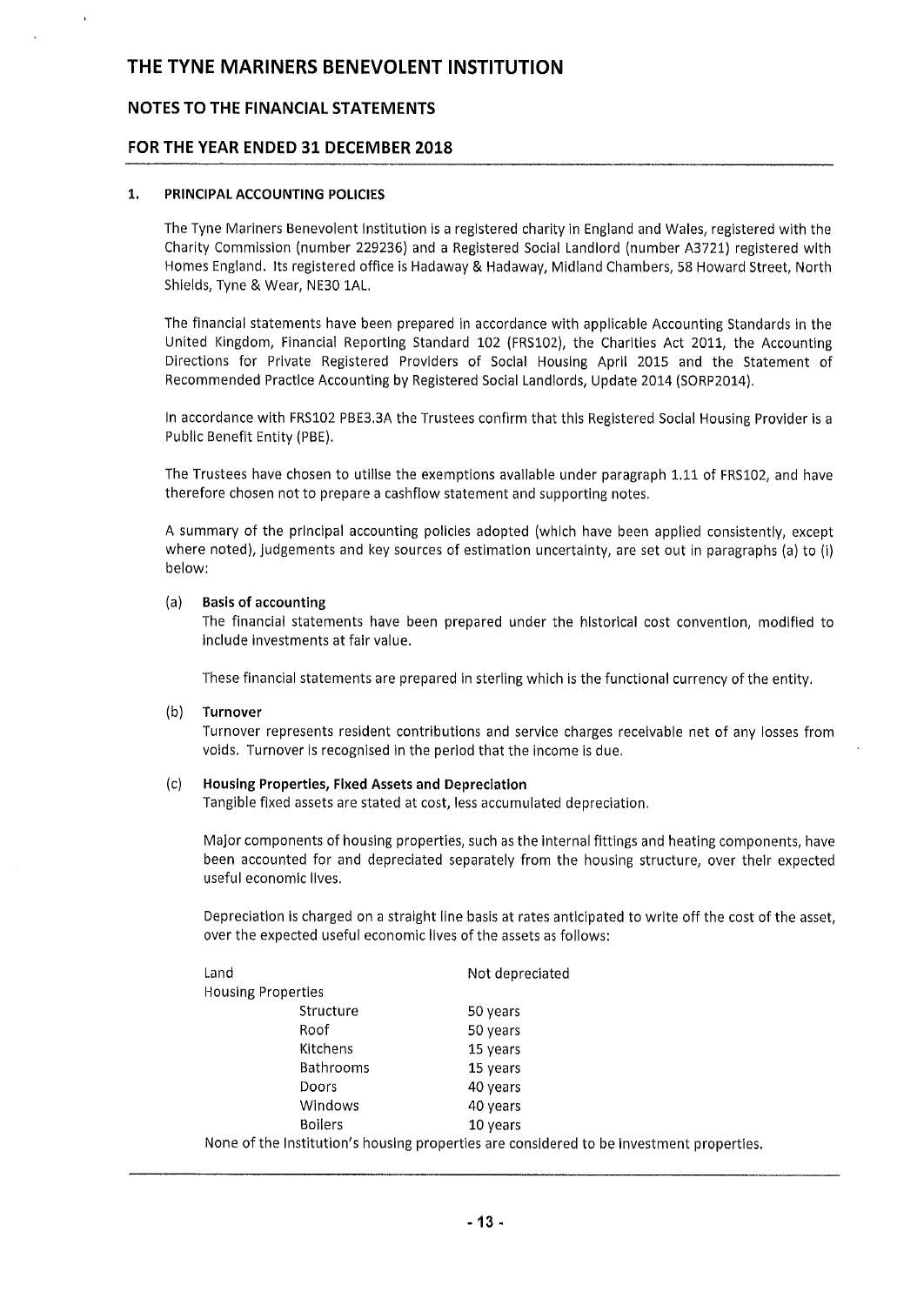### NOTES TO THE FINANCIAL STATEMENTS

### FOR THE YEAR ENDED 31 DECEMBER 2018

#### 1. PRINCIPAL ACCOUNTING POLICIES

The Tyne Mariners Benevolent Institution is a registered charity in England and Wales, registered with the Charity Commission (number 229236) and a Registered Social Landlord (number A3721) registered with Homes England. Its registered office is Hadaway & Hadaway, Midland Chambers, 58 Howard Street, North Shields, Tyne & Wear, NE30 1AL,

The financial statements have been prepared in accordance with applicable Accounting Standards in the United Kingdom, Financial Reporting Standard 102 (FRS102), the Charities Act 2011, the Accounting Directions for Private Registered Provlders of Social Housing April 2015 and the Statement of Recommended Practice Accounting by Registered Social Landlords, Update 2014 (SORP2014),

In accordance with FRS102 PBE3,3A the Trustees confirm that this Registered Social Housing Provider is a Public Benefit Entity (PBE),

The Trustees have chosen to utillse the exemptions available under paragraph 1,11 of FRS102, and have therefore chosen not to prepare a cashflow statement and supporting notes.

<sup>A</sup> summary of the principal accounting policies adopted (which have been applied consistently, except where noted), Judgements and key sources of estimation uncertainty, are set out in paragraphs (a) to (i) below:

#### (a) Basis of accounting

The financial statements have been prepared under the historical cost convention, modified to include investments at fair value,

These financial statements are prepared in sterling which is the functional currency of the entity,

#### (b) Turnover

Turnover represents resident contributions and service charges receivable net of any losses from voids. Turnover is recognised in the period that the income is due,

#### (c) Housing Properties, Fixed Assets and Depreciation

Tangible fixed assets are stated at cost, less accumulated depreciation.

Major components of housing properties, such as the internal fittings and heating components, have been accounted for and depreciated separately from the housing structure, over their expected useful economic lives,

Depreciation is charged on a straight line basis at rates anticipated to write off the cost of the asset, over the expected useful economic lives of the assets as follows:

| Land                      |                  | Not depreciated                                                                        |
|---------------------------|------------------|----------------------------------------------------------------------------------------|
| <b>Housing Properties</b> |                  |                                                                                        |
|                           | Structure        | 50 years                                                                               |
|                           | Roof             | 50 years                                                                               |
|                           | Kitchens         | 15 years                                                                               |
|                           | <b>Bathrooms</b> | 15 years                                                                               |
|                           | Doors            | 40 years                                                                               |
|                           | Windows          | 40 years                                                                               |
|                           | <b>Boilers</b>   | 10 years                                                                               |
|                           |                  | None of the Institution's housing properties are considered to be investment propertie |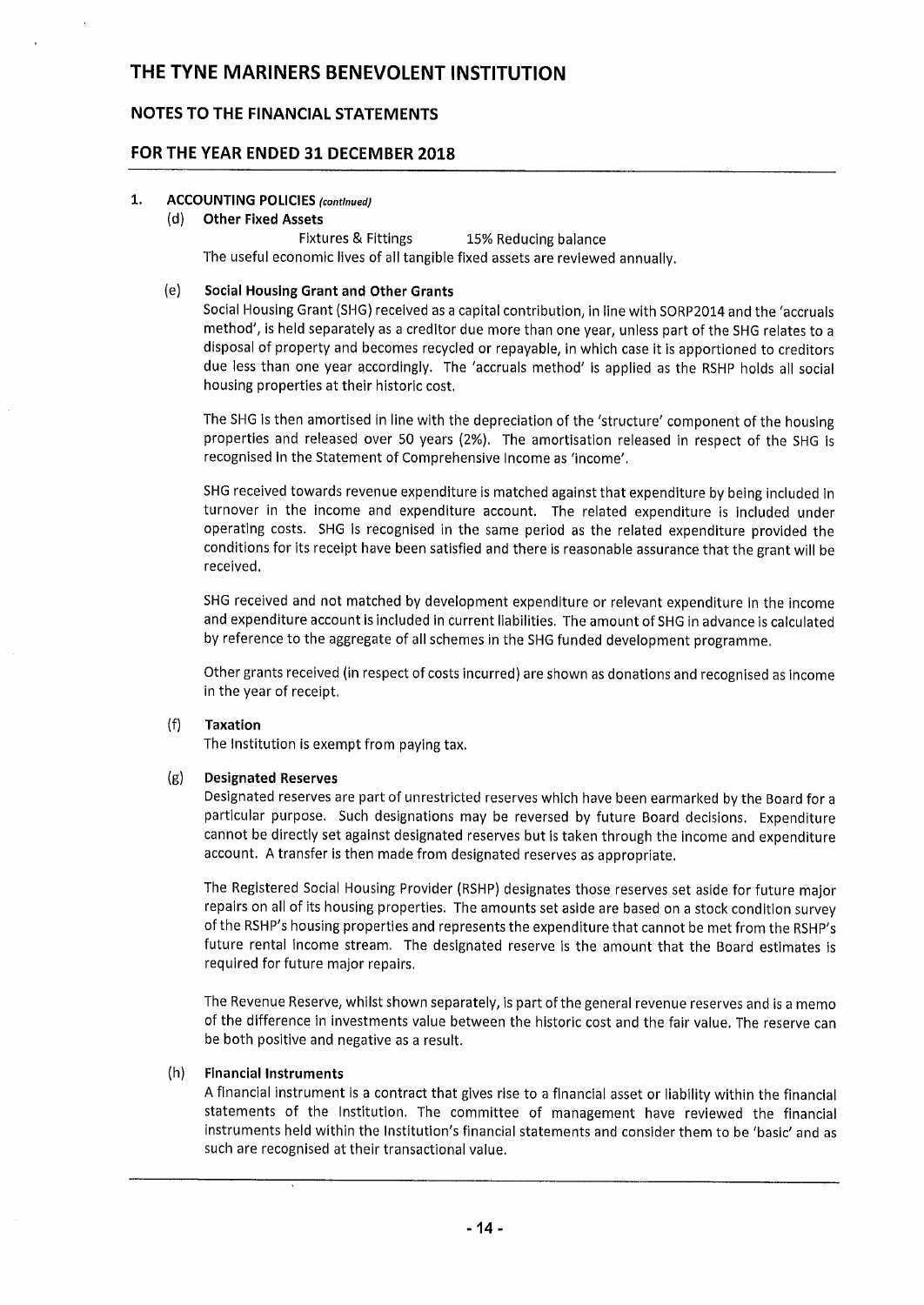## NOTES TO THE FINANCIAL STATEMENTS

## FOR THE YEAR ENDED 31 DECEMBER 2018

#### 1. ACCOUNTING POLICIES (continued)

(d) Other Fixed Assets

Fixtures & Fittings 15% Reducing balance The useful economic lives of all tangible fixed assets are reviewed annually,

#### (e) Social Housing Grant and Other Grants

Social Housing Grant (SHG) received as a capital contribution, in line with SORP2014 and the 'accruals method', is held separately as <sup>a</sup> creditor due more than one year, unless part of the SHG relates to <sup>a</sup> disposal of property and becomes recycled or repayable, in which case it is apportioned to creditors due less than one year accordingly, The 'accruals method' is applied as the RSHP holds all social housing properties at their historic cost.

The SHG is then amortised in line with the depreciation of the 'structure' component of the housing properties and released over 50 years (2%). The amortisation released in respect of the SHG is recognised in the Statement of Comprehensive Income as 'income',

SHG received towards revenue expenditure is matched against that expenditure by being included in turnover in the income and expenditure account. The related expenditure is included under operating costs. SHG Is recognised in the same period as the related expenditure provided the conditions for its receipt have been satisfied and there is reasonable assurance that the grant will be received,

SHG received and not matched by development expenditure or relevant expenditure in the income and expenditure account is included in current liabilities, The amount of SHG in advance is calculated by reference to the aggregate of all schemes in the SHG funded development programme,

Other grants received (in respect of costs incurred) are shown as donations and recognised as income in the year of receipt,

#### (f) Taxation

The institution is exempt from paying tax,

#### (g) Designated Reserves

Designated reserves are part of unrestricted reserves which have been earmarked by the Board for a particular purpose, Such designations may be reversed by future Board decisions, Expenditure cannot be directly set against designated reserves but is taken through the income and expenditure account, <sup>A</sup> transfer is then made from designated reserves as appropriate,

The Registered Social Housing Provider (RSHP) designates those reserves set aside for future major repairs on all of its housing properties. The amounts set aside are based on a stock condition survey of the RSHP's housing properties and represents the expenditure that cannot be met from the RSHP's future rental income stream, The designated reserve is the amount that the Board estimates is required for future major repairs,

The Revenue Reserve, whilst shown separately, is part of the general revenue reserves and is a memo of the difference in investments value between the historic cost and the fair value, The reserve can be both positive and negative as a result.

## (h) Financial Instruments

<sup>A</sup> financial instrument is a contract that gives rise to <sup>a</sup> financial asset or liability within the financial statements of the Institution. The committee of management have reviewed the financial instruments held within the Institution's financial statements and consider them to be 'basic' and as such are recognised at their transactional value.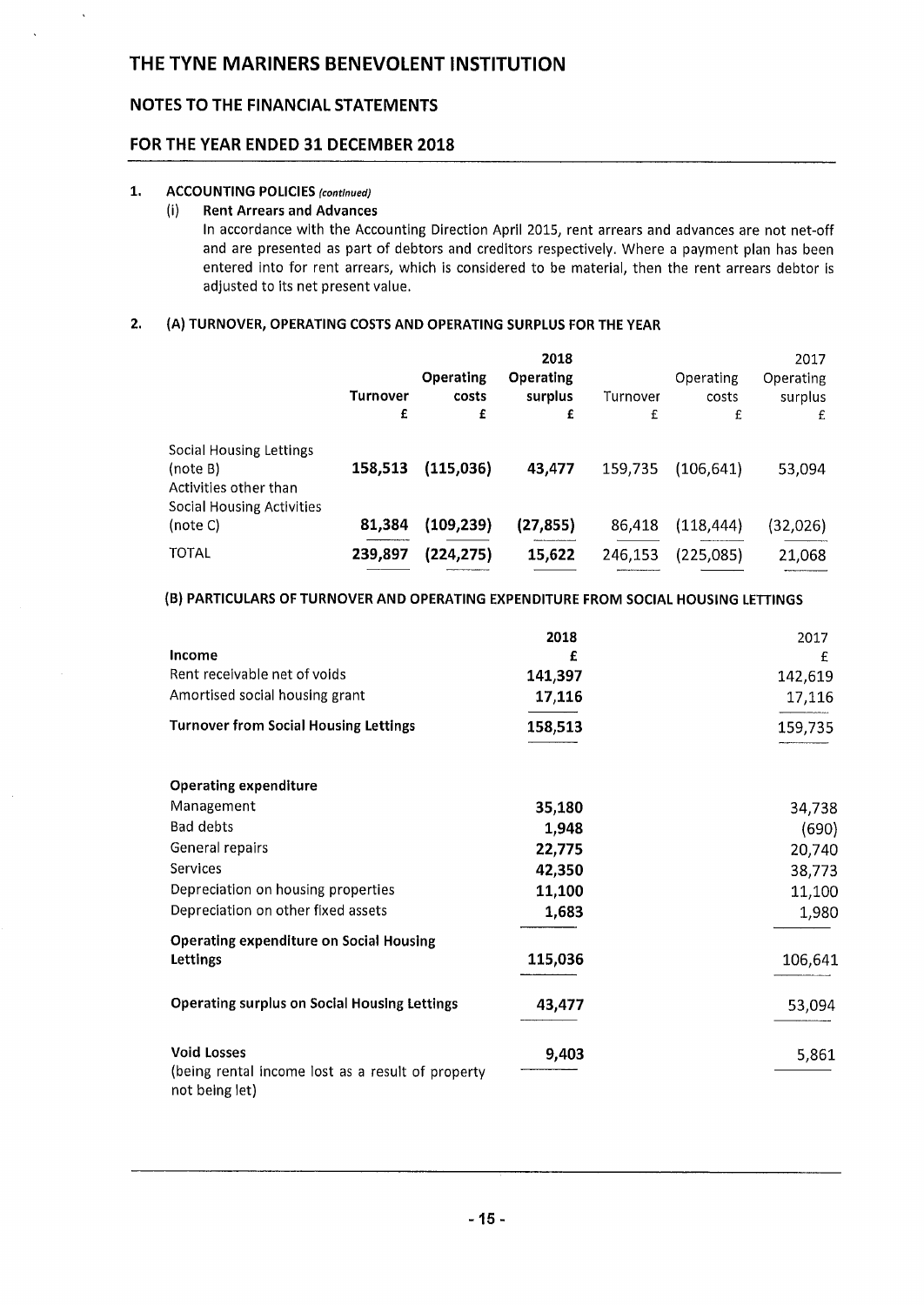## NOTES TO THE FINANCIAL STATEMENTS

## FOR THE YEAR ENDED 31 DECEMBER 2018

#### 1. ACCOUNTING POLICIES (continued)

(i) Rent Arrears and Advances

In accordance with the Accounting Direction April 2015, rent arrears and advances are not net-off and are presented as part of debtors and creditors respectively. Where a payment plan has been entered into for rent arrears, which is considered to be material, then the rent arrears debtor is adjusted to its net present value,

### 2. (A) TURNOVER, OPERATING COSTS AND OPERATING SURPLUS FOR THE YEAR

|                                                                                                         | <b>Turnover</b><br>£ | Operating<br>costs<br>£ | 2018<br>Operating<br>surplus<br>£ | Turnover<br>£ | Operating<br>costs<br>£ | 2017<br>Operating<br>surplus<br>£ |
|---------------------------------------------------------------------------------------------------------|----------------------|-------------------------|-----------------------------------|---------------|-------------------------|-----------------------------------|
| <b>Social Housing Lettings</b><br>(note B)<br>Activities other than<br><b>Social Housing Activities</b> | 158,513              | (115,036)               | 43,477                            | 159,735       | (106, 641)              | 53,094                            |
| (note C)                                                                                                | 81,384               | (109, 239)              | (27,855)                          | 86,418        | (118, 444)              | (32,026)                          |
| <b>TOTAL</b>                                                                                            | 239,897              | (224, 275)              | 15,622                            | 246,153       | (225,085)               | 21,068                            |

## (B) PARTICULARS OF TURNOVER AND OPERATING EXPENDITURE FROM SOCIAL HOUSING LETTINGS

|                                                                     | 2018    | 2017    |
|---------------------------------------------------------------------|---------|---------|
| Income                                                              | £       | £       |
| Rent receivable net of voids                                        | 141,397 | 142,619 |
| Amortised social housing grant                                      | 17,116  | 17,116  |
| <b>Turnover from Social Housing Lettings</b>                        | 158,513 | 159,735 |
| <b>Operating expenditure</b>                                        |         |         |
| Management                                                          | 35,180  | 34,738  |
| Bad debts                                                           | 1,948   | (690)   |
| General repairs                                                     | 22,775  | 20,740  |
| Services                                                            | 42,350  | 38,773  |
| Depreciation on housing properties                                  | 11,100  | 11,100  |
| Depreciation on other fixed assets                                  | 1,683   | 1,980   |
| <b>Operating expenditure on Social Housing</b>                      |         |         |
| Lettings                                                            | 115,036 | 106,641 |
| <b>Operating surplus on Social Housing Lettings</b>                 | 43,477  | 53,094  |
| <b>Void Losses</b>                                                  | 9,403   | 5,861   |
| (being rental income lost as a result of property<br>not being let) |         |         |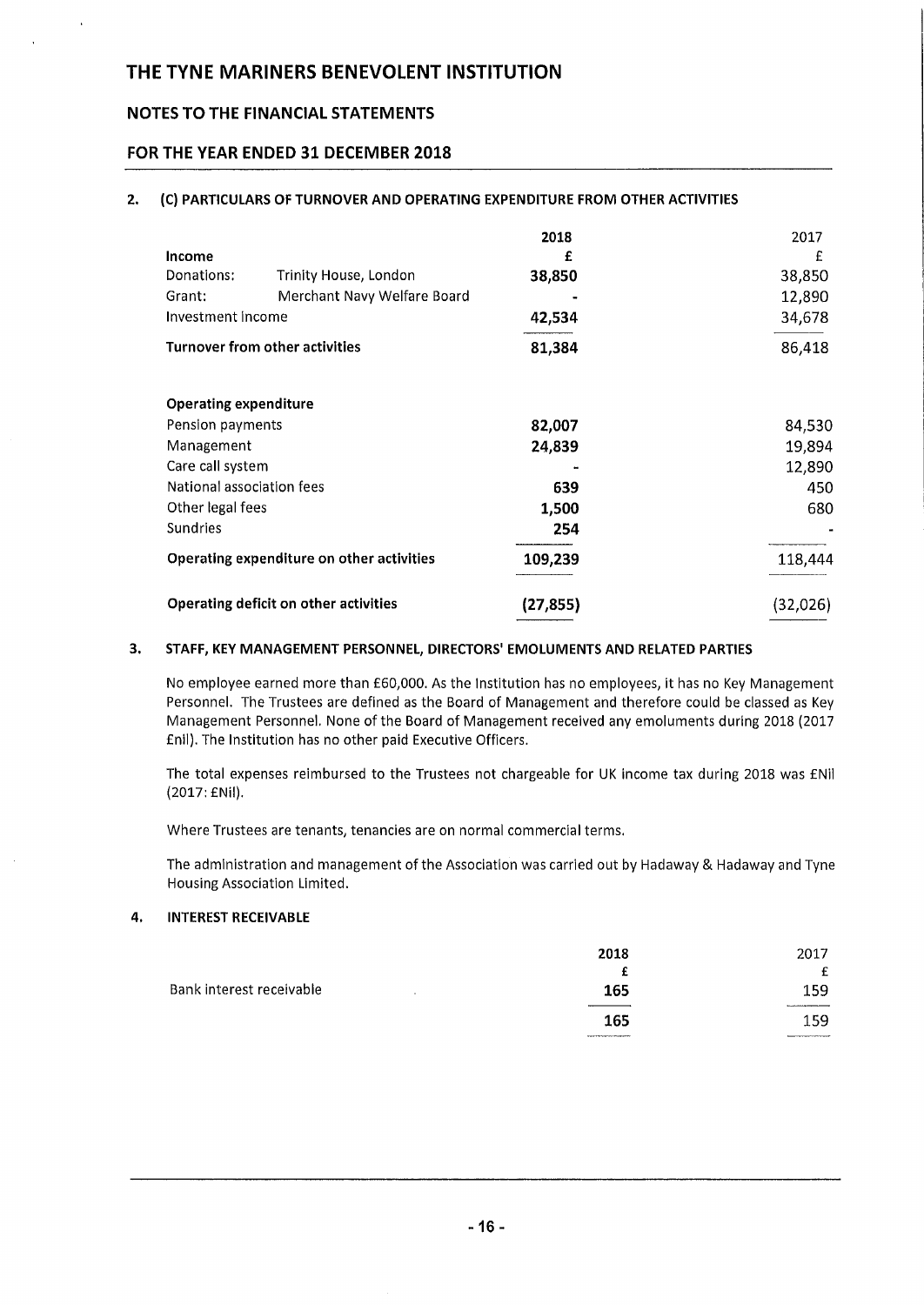## NOTES TO THE FINANCIAL STATEMENTS

## FOR THE YEAR ENDED 31 DECEMBER 2018

#### 2. (C) PARTICULARS OF TURNOVER AND OPERATING EXPENDITURE FROM OTHER ACTIVITIES

|                              |                                           | 2018     | 2017     |
|------------------------------|-------------------------------------------|----------|----------|
| Income                       |                                           | £        | £        |
| Donations:                   | Trinity House, London                     | 38,850   | 38,850   |
| Grant:                       | Merchant Navy Welfare Board               |          | 12,890   |
| Investment income            |                                           | 42,534   | 34,678   |
|                              | <b>Turnover from other activities</b>     | 81,384   | 86,418   |
| <b>Operating expenditure</b> |                                           |          |          |
| Pension payments             |                                           | 82,007   | 84,530   |
| Management                   |                                           | 24,839   | 19,894   |
| Care call system             |                                           |          | 12,890   |
| National association fees    |                                           | 639      | 450      |
| Other legal fees             |                                           | 1,500    | 680      |
| Sundries                     |                                           | 254      |          |
|                              | Operating expenditure on other activities | 109,239  | 118,444  |
|                              | Operating deficit on other activities     | (27,855) | (32,026) |

### 3. STAFF, KEY MANAGEMENT PERSONNEL, DIRECTORS' EMOLUMENTS AND RELATED PARTIES

No employee earned more than f60,000. As the Institution has no employees, it has no Key Management Personnel. The Trustees are defined as the Board of Management and therefore could be classed as Key Management Personnel, None of the Board of Management received any emoluments during 2018 (2017 fnll). The Institution has no other paid Executive Officers,

The total expenses reimbursed to the Trustees not chargeable for UK income tax during 2018 was £Nil (2017: £Nil).

Where Trustees are tenants, tenancies are on normal commercial terms,

The administration and management of the Association was carried out by Hadaway & Hadaway and Tyne Housing Association Limited.

### 4, INTEREST RECEIVABLE

|                                 | 2018                                                              | 2017 |
|---------------------------------|-------------------------------------------------------------------|------|
|                                 | £                                                                 | £    |
| Bank interest receivable<br>. . | 165                                                               | 159  |
|                                 |                                                                   |      |
|                                 | 165                                                               | 159  |
|                                 | <b><i><u>Sunday Administration of Community Community</u></i></b> |      |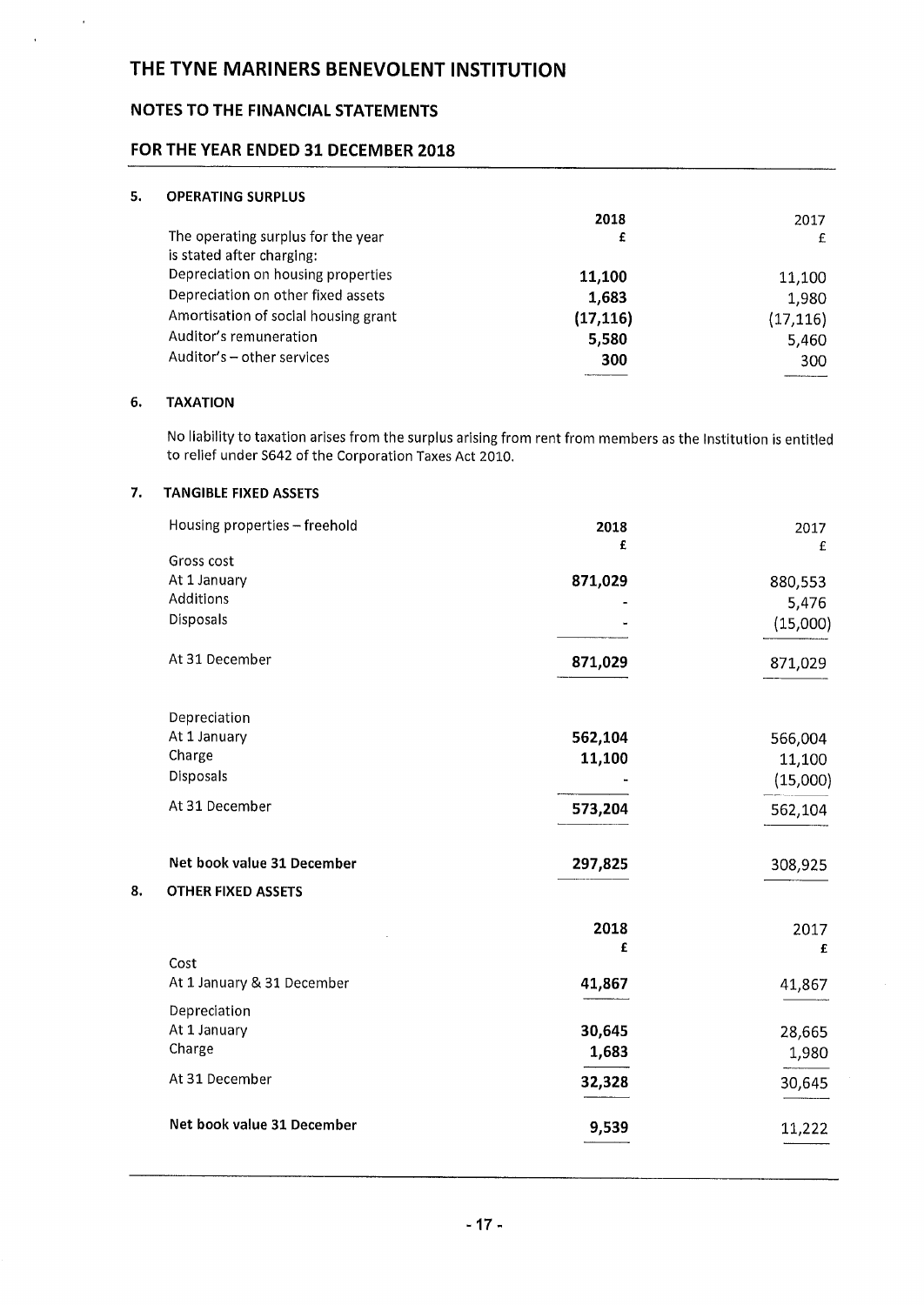## NOTES TO THE FINANCIAL STATEMENTS

## FOR THE YEAR ENDED 31 DECEMBER 2018

#### S. OPERATING SURPLUS

 $\ddot{\phantom{1}}$ 

|                                      | 2018      | 2017      |
|--------------------------------------|-----------|-----------|
| The operating surplus for the year   |           |           |
| is stated after charging:            |           |           |
| Depreciation on housing properties   | 11,100    | 11,100    |
| Depreciation on other fixed assets   | 1,683     | 1,980     |
| Amortisation of social housing grant | (17, 116) | (17, 116) |
| Auditor's remuneration               | 5,580     | 5,460     |
| Auditor's - other services           | 300       | 300       |
|                                      |           |           |

#### 6. TAXATION

No liability to taxation arises from the surplus arising from rent from members as the Institution is entitled to relief under S642 of the Corporation Taxes Act 2010,

#### 7. TANGIBLE FIXED ASSETS

| Housing properties - freehold | 2018                                                                                                                                        | 2017                            |
|-------------------------------|---------------------------------------------------------------------------------------------------------------------------------------------|---------------------------------|
|                               |                                                                                                                                             | £                               |
|                               |                                                                                                                                             | 880,553                         |
|                               |                                                                                                                                             | 5,476                           |
|                               |                                                                                                                                             | (15,000)                        |
|                               |                                                                                                                                             |                                 |
| At 31 December                | 871,029                                                                                                                                     | 871,029                         |
| Depreciation                  |                                                                                                                                             |                                 |
| At 1 January                  | 562,104                                                                                                                                     | 566,004                         |
|                               | 11,100                                                                                                                                      | 11,100                          |
|                               |                                                                                                                                             | (15,000)                        |
| At 31 December                | 573,204                                                                                                                                     | 562,104                         |
| Net book value 31 December    | 297,825                                                                                                                                     | 308,925                         |
| <b>OTHER FIXED ASSETS</b>     |                                                                                                                                             |                                 |
|                               | 2018                                                                                                                                        | 2017                            |
|                               | £                                                                                                                                           | £                               |
|                               |                                                                                                                                             |                                 |
|                               |                                                                                                                                             | 41,867                          |
| Depreciation                  |                                                                                                                                             |                                 |
|                               | 30,645                                                                                                                                      | 28,665                          |
|                               |                                                                                                                                             | 1,980                           |
| At 31 December                | 32,328                                                                                                                                      | 30,645                          |
| Net book value 31 December    | 9,539                                                                                                                                       | 11,222                          |
|                               | Gross cost<br>At 1 January<br>Additions<br>Disposals<br>Charge<br>Disposals<br>Cost<br>At 1 January & 31 December<br>At 1 January<br>Charge | £<br>871,029<br>41,867<br>1,683 |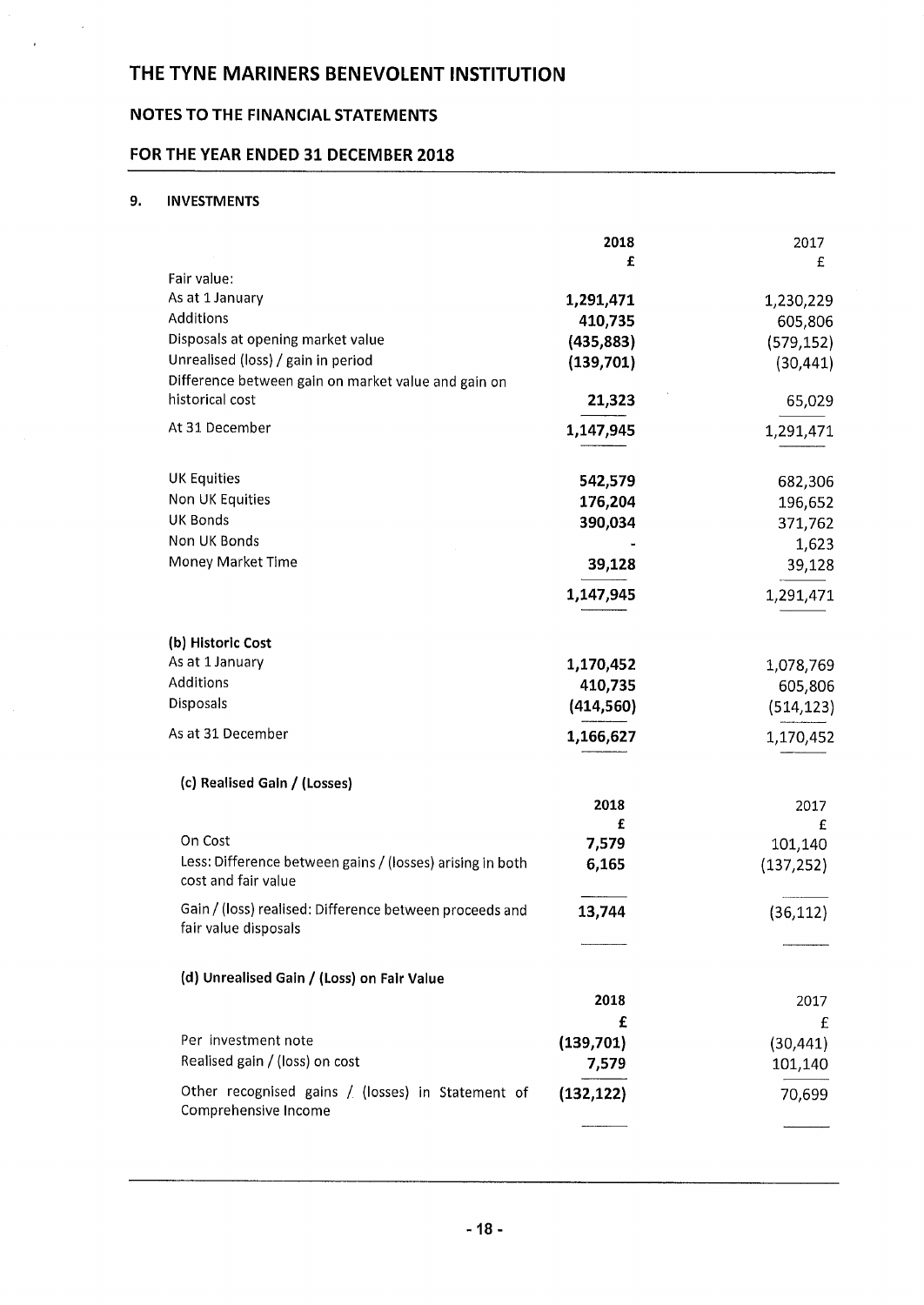# NOTES TO THE FINANCIAL STATEMENTS

## FOR THE YEAR ENDED 31 DECEMBER 2018

### 9. INVESTMENTS

 $\bar{\gamma}$ 

|                                                                                  | 2018       | 2017       |
|----------------------------------------------------------------------------------|------------|------------|
|                                                                                  | £          | £          |
| Fair value:                                                                      |            |            |
| As at 1 January                                                                  | 1,291,471  | 1,230,229  |
| Additions                                                                        | 410,735    | 605,806    |
| Disposals at opening market value                                                | (435, 883) | (579, 152) |
| Unrealised (loss) / gain in period                                               | (139, 701) | (30, 441)  |
| Difference between gain on market value and gain on                              |            |            |
| historical cost                                                                  | 21,323     | 65,029     |
| At 31 December                                                                   | 1,147,945  | 1,291,471  |
| <b>UK Equities</b>                                                               | 542,579    | 682,306    |
| Non UK Equities                                                                  | 176,204    | 196,652    |
| <b>UK Bonds</b>                                                                  | 390,034    | 371,762    |
| Non UK Bonds                                                                     |            | 1,623      |
| Money Market Time                                                                | 39,128     | 39,128     |
|                                                                                  | 1,147,945  | 1,291,471  |
|                                                                                  |            |            |
| (b) Historic Cost                                                                |            |            |
| As at 1 January                                                                  | 1,170,452  | 1,078,769  |
| Additions                                                                        | 410,735    | 605,806    |
| <b>Disposals</b>                                                                 | (414, 560) | (514, 123) |
| As at 31 December                                                                | 1,166,627  | 1,170,452  |
| (c) Realised Gain / (Losses)                                                     |            |            |
|                                                                                  | 2018       | 2017       |
|                                                                                  | £          | £          |
| On Cost                                                                          | 7,579      | 101,140    |
| Less: Difference between gains / (losses) arising in both<br>cost and fair value | 6,165      | (137, 252) |
| Gain / (loss) realised: Difference between proceeds and<br>fair value disposals  | 13,744     | (36, 112)  |
|                                                                                  |            |            |
| (d) Unrealised Gain / (Loss) on Fair Value                                       |            |            |
|                                                                                  | 2018       | 2017       |
|                                                                                  | £          | £          |
| Per investment note                                                              | (139,701)  | (30, 441)  |
| Realised gain / (loss) on cost                                                   | 7,579      | 101,140    |
| Other recognised gains / (losses) in Statement of<br>Comprehensive Income        | (132, 122) | 70,699     |
|                                                                                  |            |            |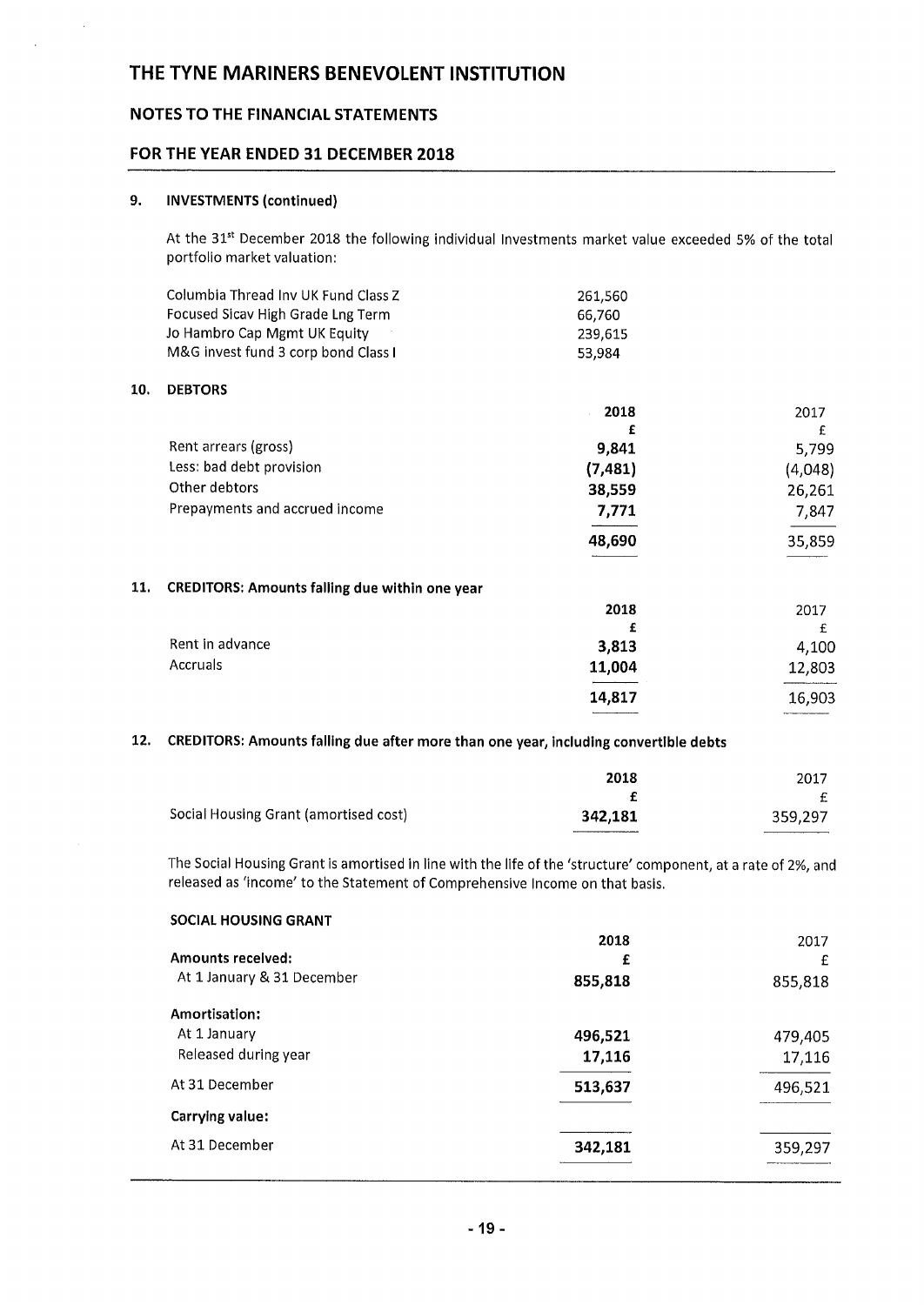## NOTES TO THE FINANCIAL STATEMENTS

### FOR THE YEAR ENDED 31 DECEMBER 2018

#### 9. INVESTMENTS (continued)

At the 31<sup>st</sup> December 2018 the following individual Investments market value exceeded 5% of the total portfolio market valuation:

| Columbia Thread Inv UK Fund Class Z | 261,560 |
|-------------------------------------|---------|
| Focused Sicav High Grade Lng Term   | 66.760  |
| Jo Hambro Cap Mgmt UK Equity        | 239.615 |
| M&G invest fund 3 corp bond Class I | 53.984  |

#### 10. DEBTORS

|                                | 2018    | 2017    |
|--------------------------------|---------|---------|
|                                | £       |         |
| Rent arrears (gross)           | 9.841   | 5,799   |
| Less: bad debt provision       | (7,481) | (4,048) |
| Other debtors                  | 38,559  | 26,261  |
| Prepayments and accrued income | 7.771   | 7.847   |
|                                | 48,690  | 35,859  |

#### 11. CREDITORS: Amounts falling due within one year

|                 | 2018   | 2017                                        |
|-----------------|--------|---------------------------------------------|
|                 | £      | £                                           |
| Rent in advance | 3,813  | 4,100                                       |
| <b>Accruals</b> | 11,004 | 12,803                                      |
|                 | 14,817 | 16,903                                      |
|                 |        | The constitution companies and constitution |

#### 12. CREDITORS: Amounts falling due after more than one year, including convertible debts

|                                       | 2018    | 2017    |
|---------------------------------------|---------|---------|
|                                       |         |         |
| Social Housing Grant (amortised cost) | 342,181 | 359,297 |

The Social Housing Grant is amortised in line with the life of the 'structure' component, at <sup>a</sup> rate of 2%, and released as 'income' to the Statement of Comprehensive Income on that basis,

| <b>SOCIAL HOUSING GRANT</b> |         |         |
|-----------------------------|---------|---------|
|                             | 2018    | 2017    |
| <b>Amounts received:</b>    | £       | £       |
| At 1 January & 31 December  | 855,818 | 855,818 |
| Amortisation:               |         |         |
| At 1 January                | 496,521 | 479,405 |
| Released during year        | 17,116  | 17,116  |
| At 31 December              | 513,637 | 496,521 |
| Carrying value:             |         |         |
| At 31 December              | 342,181 | 359,297 |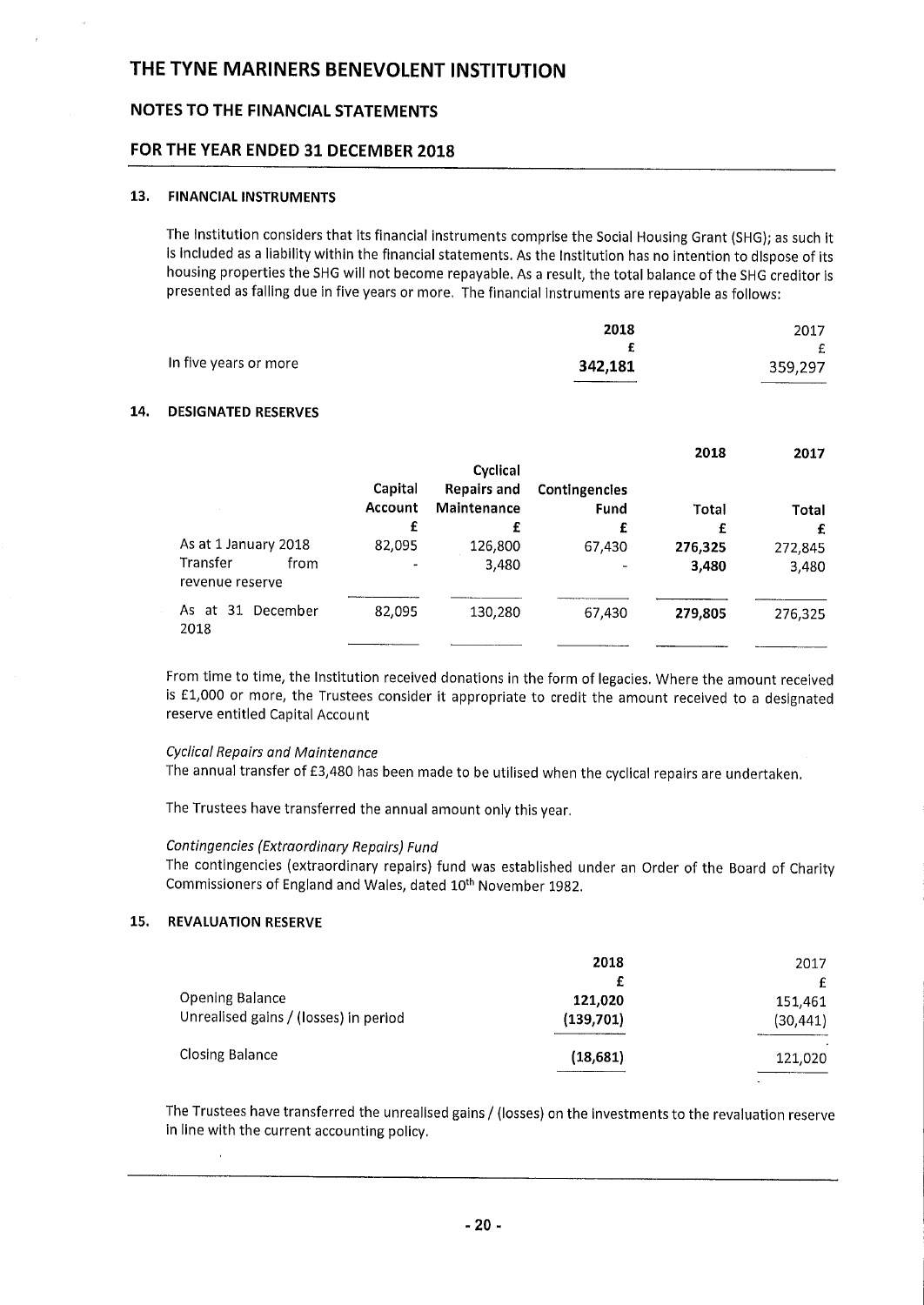## NOTES TO THE FINANCIAL STATEMENTS

### FOR THE YEAR ENDED 31 DECEMBER 2018

#### 13. FINANCIAL INSTRUMENTS

The Institution considers that its financial instruments comprise the Social Housing Grant (SHG); as such it is included as a liability within the financial statements, As the Institution has no intention to dispose of its housing properties the SHG will not become repayable, As <sup>a</sup> result, the total balance of the SHG creditor is presented as falling due in five years or more. The financial Instruments are repayable as follows:

|                       | 2018    | 2017    |
|-----------------------|---------|---------|
|                       |         |         |
| In five years or more | 342,181 | 359,297 |

### 14. DESIGNATED RESERVES

| Capital        | Cyclical<br><b>Repairs and</b> | Contingencies | 2018    | 2017         |
|----------------|--------------------------------|---------------|---------|--------------|
| <b>Account</b> | Maintenance                    | <b>Fund</b>   | Total   | <b>Total</b> |
| £              | £                              | £             | £       | £            |
| 82,095         | 126,800                        | 67,430        | 276,325 | 272,845      |
| $\blacksquare$ | 3,480                          |               | 3,480   | 3,480        |
| 82,095         | 130,280                        | 67,430        | 279,805 | 276,325      |
|                |                                |               |         |              |

From time to time, the Institution received donations in the form of legacies, Where the amount received is f1,000 or more, the Trustees consider it appropriate to credit the amount received to <sup>a</sup> designated reserve entitled Capital Account

#### Cyclical Repairs and Maintenance

The annual transfer of £3,480 has been made to be utilised when the cyclical repairs are undertaken.

The Trustees have transferred the annual amount only this year,

#### Contingencies (Extraordinary Repairs) Fund

The contingencies (extraordinary repairs) fund was established under an Order of the Board of Charity Commissioners of England and Wales, dated 10<sup>th</sup> November 1982.

#### 15. REVALUATION RESERVE

|                                       | 2018      | 2017      |
|---------------------------------------|-----------|-----------|
|                                       |           |           |
| <b>Opening Balance</b>                | 121,020   | 151,461   |
| Unrealised gains / (losses) in period | (139,701) | (30, 441) |
| Closing Balance                       | (18, 681) | 121,020   |

The Trustees have transferred the unreallsed gains / (losses) on the investments to the revaluation reserve in line with the current accounting policy,